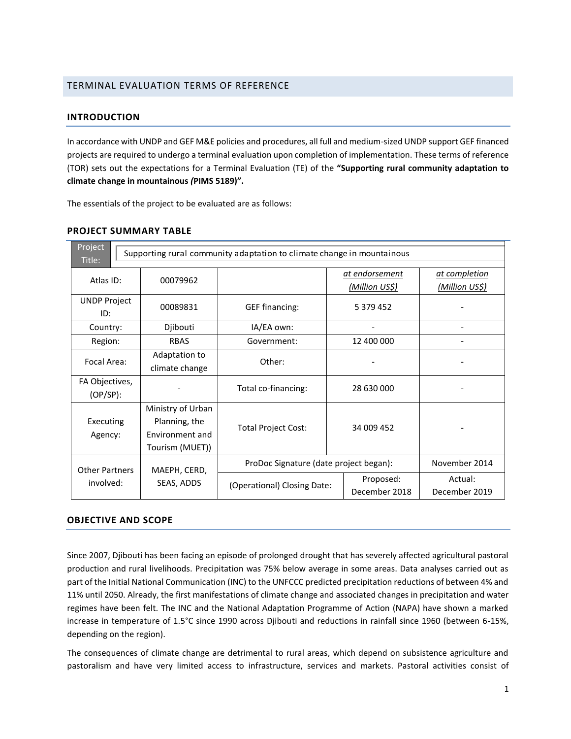## TERMINAL EVALUATION TERMS OF REFERENCE

### **INTRODUCTION**

In accordance with UNDP and GEF M&E policies and procedures, all full and medium-sized UNDP support GEF financed projects are required to undergo a terminal evaluation upon completion of implementation. These terms of reference (TOR) sets out the expectations for a Terminal Evaluation (TE) of the **"Supporting rural community adaptation to climate change in mountainous** *(***PIMS 5189)".**

The essentials of the project to be evaluated are as follows:

| Project<br>Title:     | Supporting rural community adaptation to climate change in mountainous |                             |                                        |                       |                |  |  |
|-----------------------|------------------------------------------------------------------------|-----------------------------|----------------------------------------|-----------------------|----------------|--|--|
| Atlas ID:             | 00079962                                                               |                             |                                        | <u>at endorsement</u> | at completion  |  |  |
|                       |                                                                        |                             |                                        | <u>(Million US\$)</u> | (Million US\$) |  |  |
| <b>UNDP Project</b>   | 00089831                                                               | <b>GEF</b> financing:       | 5 379 452                              |                       |                |  |  |
| ID:                   |                                                                        |                             |                                        |                       |                |  |  |
| Country:              | Djibouti                                                               | IA/EA own:                  |                                        |                       |                |  |  |
| Region:               | <b>RBAS</b>                                                            | Government:                 |                                        | 12 400 000            |                |  |  |
| Focal Area:           | Adaptation to                                                          | Other:                      |                                        |                       |                |  |  |
|                       | climate change                                                         |                             |                                        |                       |                |  |  |
| FA Objectives,        |                                                                        | Total co-financing:         |                                        | 28 630 000            |                |  |  |
| (OP/SP):              |                                                                        |                             |                                        |                       |                |  |  |
|                       | Ministry of Urban                                                      |                             |                                        |                       |                |  |  |
| Executing             | Planning, the                                                          | <b>Total Project Cost:</b>  |                                        | 34 009 452            |                |  |  |
| Agency:               | Environment and                                                        |                             |                                        |                       |                |  |  |
|                       | Tourism (MUET))                                                        |                             |                                        |                       |                |  |  |
| <b>Other Partners</b> | MAEPH, CERD,                                                           |                             | ProDoc Signature (date project began): |                       | November 2014  |  |  |
| involved:             | SEAS, ADDS                                                             | (Operational) Closing Date: |                                        | Proposed:             | Actual:        |  |  |
|                       |                                                                        |                             |                                        | December 2018         | December 2019  |  |  |

### **PROJECT SUMMARY TABLE**

#### **OBJECTIVE AND SCOPE**

Since 2007, Djibouti has been facing an episode of prolonged drought that has severely affected agricultural pastoral production and rural livelihoods. Precipitation was 75% below average in some areas. Data analyses carried out as part of the Initial National Communication (INC) to the UNFCCC predicted precipitation reductions of between 4% and 11% until 2050. Already, the first manifestations of climate change and associated changes in precipitation and water regimes have been felt. The INC and the National Adaptation Programme of Action (NAPA) have shown a marked increase in temperature of 1.5°C since 1990 across Djibouti and reductions in rainfall since 1960 (between 6-15%, depending on the region).

The consequences of climate change are detrimental to rural areas, which depend on subsistence agriculture and pastoralism and have very limited access to infrastructure, services and markets. Pastoral activities consist of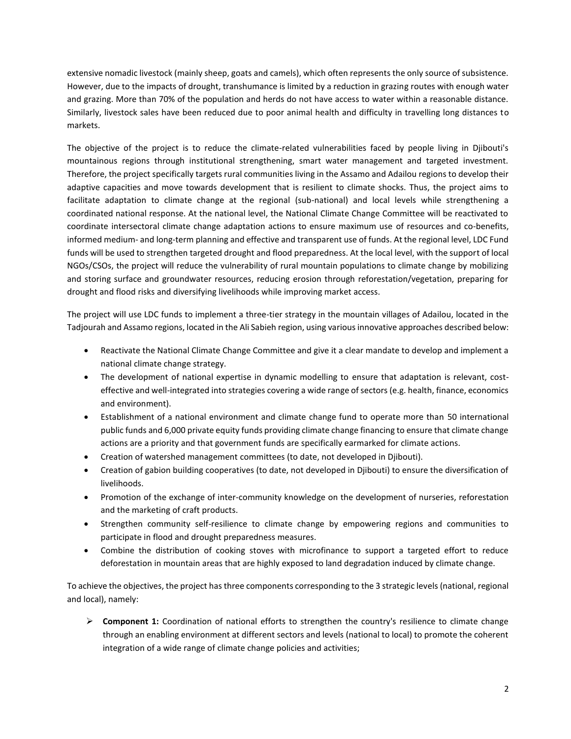extensive nomadic livestock (mainly sheep, goats and camels), which often represents the only source of subsistence. However, due to the impacts of drought, transhumance is limited by a reduction in grazing routes with enough water and grazing. More than 70% of the population and herds do not have access to water within a reasonable distance. Similarly, livestock sales have been reduced due to poor animal health and difficulty in travelling long distances to markets.

The objective of the project is to reduce the climate-related vulnerabilities faced by people living in Djibouti's mountainous regions through institutional strengthening, smart water management and targeted investment. Therefore, the project specifically targets rural communities living in the Assamo and Adailou regions to develop their adaptive capacities and move towards development that is resilient to climate shocks. Thus, the project aims to facilitate adaptation to climate change at the regional (sub-national) and local levels while strengthening a coordinated national response. At the national level, the National Climate Change Committee will be reactivated to coordinate intersectoral climate change adaptation actions to ensure maximum use of resources and co-benefits, informed medium- and long-term planning and effective and transparent use of funds. At the regional level, LDC Fund funds will be used to strengthen targeted drought and flood preparedness. At the local level, with the support of local NGOs/CSOs, the project will reduce the vulnerability of rural mountain populations to climate change by mobilizing and storing surface and groundwater resources, reducing erosion through reforestation/vegetation, preparing for drought and flood risks and diversifying livelihoods while improving market access.

The project will use LDC funds to implement a three-tier strategy in the mountain villages of Adailou, located in the Tadjourah and Assamo regions, located in the Ali Sabieh region, using various innovative approaches described below:

- Reactivate the National Climate Change Committee and give it a clear mandate to develop and implement a national climate change strategy.
- The development of national expertise in dynamic modelling to ensure that adaptation is relevant, costeffective and well-integrated into strategies covering a wide range of sectors (e.g. health, finance, economics and environment).
- Establishment of a national environment and climate change fund to operate more than 50 international public funds and 6,000 private equity funds providing climate change financing to ensure that climate change actions are a priority and that government funds are specifically earmarked for climate actions.
- Creation of watershed management committees (to date, not developed in Djibouti).
- Creation of gabion building cooperatives (to date, not developed in Djibouti) to ensure the diversification of livelihoods.
- Promotion of the exchange of inter-community knowledge on the development of nurseries, reforestation and the marketing of craft products.
- Strengthen community self-resilience to climate change by empowering regions and communities to participate in flood and drought preparedness measures.
- Combine the distribution of cooking stoves with microfinance to support a targeted effort to reduce deforestation in mountain areas that are highly exposed to land degradation induced by climate change.

To achieve the objectives, the project has three components corresponding to the 3 strategic levels (national, regional and local), namely:

➢ **Component 1:** Coordination of national efforts to strengthen the country's resilience to climate change through an enabling environment at different sectors and levels (national to local) to promote the coherent integration of a wide range of climate change policies and activities;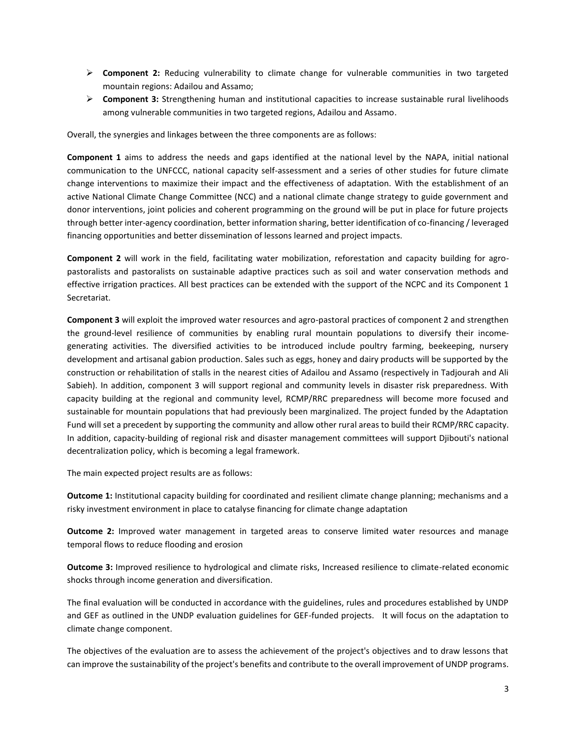- ➢ **Component 2:** Reducing vulnerability to climate change for vulnerable communities in two targeted mountain regions: Adailou and Assamo;
- ➢ **Component 3:** Strengthening human and institutional capacities to increase sustainable rural livelihoods among vulnerable communities in two targeted regions, Adailou and Assamo.

Overall, the synergies and linkages between the three components are as follows:

**Component 1** aims to address the needs and gaps identified at the national level by the NAPA, initial national communication to the UNFCCC, national capacity self-assessment and a series of other studies for future climate change interventions to maximize their impact and the effectiveness of adaptation. With the establishment of an active National Climate Change Committee (NCC) and a national climate change strategy to guide government and donor interventions, joint policies and coherent programming on the ground will be put in place for future projects through better inter-agency coordination, better information sharing, better identification of co-financing / leveraged financing opportunities and better dissemination of lessons learned and project impacts.

**Component 2** will work in the field, facilitating water mobilization, reforestation and capacity building for agropastoralists and pastoralists on sustainable adaptive practices such as soil and water conservation methods and effective irrigation practices. All best practices can be extended with the support of the NCPC and its Component 1 Secretariat.

**Component 3** will exploit the improved water resources and agro-pastoral practices of component 2 and strengthen the ground-level resilience of communities by enabling rural mountain populations to diversify their incomegenerating activities. The diversified activities to be introduced include poultry farming, beekeeping, nursery development and artisanal gabion production. Sales such as eggs, honey and dairy products will be supported by the construction or rehabilitation of stalls in the nearest cities of Adailou and Assamo (respectively in Tadjourah and Ali Sabieh). In addition, component 3 will support regional and community levels in disaster risk preparedness. With capacity building at the regional and community level, RCMP/RRC preparedness will become more focused and sustainable for mountain populations that had previously been marginalized. The project funded by the Adaptation Fund will set a precedent by supporting the community and allow other rural areas to build their RCMP/RRC capacity. In addition, capacity-building of regional risk and disaster management committees will support Djibouti's national decentralization policy, which is becoming a legal framework.

The main expected project results are as follows:

**Outcome 1:** Institutional capacity building for coordinated and resilient climate change planning; mechanisms and a risky investment environment in place to catalyse financing for climate change adaptation

**Outcome 2:** Improved water management in targeted areas to conserve limited water resources and manage temporal flows to reduce flooding and erosion

**Outcome 3:** Improved resilience to hydrological and climate risks, Increased resilience to climate-related economic shocks through income generation and diversification.

The final evaluation will be conducted in accordance with the guidelines, rules and procedures established by UNDP and GEF as outlined in the UNDP evaluation guidelines for GEF-funded projects. It will focus on the adaptation to climate change component.

The objectives of the evaluation are to assess the achievement of the project's objectives and to draw lessons that can improve the sustainability of the project's benefits and contribute to the overall improvement of UNDP programs.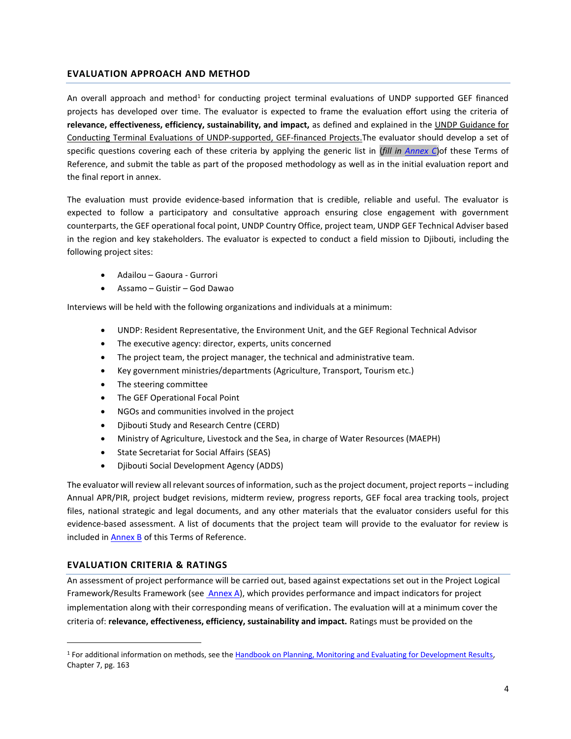## **EVALUATION APPROACH AND METHOD**

An overall approach and method<sup>1</sup> for conducting project terminal evaluations of UNDP supported GEF financed projects has developed over time. The evaluator is expected to frame the evaluation effort using the criteria of **relevance, effectiveness, efficiency, sustainability, and impact,** as defined and explained in the UNDP Guidance for Conducting Terminal Evaluations of UNDP-supported, GEF-financed Projects.The evaluator should develop a set of specific questions covering each of these criteria by applying the generic list in (*fill in [Annex C](#page-20-0)*)of these Terms of Reference, and submit the table as part of the proposed methodology as well as in the initial evaluation report and the final report in annex.

The evaluation must provide evidence‐based information that is credible, reliable and useful. The evaluator is expected to follow a participatory and consultative approach ensuring close engagement with government counterparts, the GEF operational focal point, UNDP Country Office, project team, UNDP GEF Technical Adviser based in the region and key stakeholders. The evaluator is expected to conduct a field mission to Djibouti, including the following project sites:

- Adailou Gaoura Gurrori
- Assamo Guistir God Dawao

Interviews will be held with the following organizations and individuals at a minimum:

- UNDP: Resident Representative, the Environment Unit, and the GEF Regional Technical Advisor
- The executive agency: director, experts, units concerned
- The project team, the project manager, the technical and administrative team.
- Key government ministries/departments (Agriculture, Transport, Tourism etc.)
- The steering committee
- The GEF Operational Focal Point
- NGOs and communities involved in the project
- Djibouti Study and Research Centre (CERD)
- Ministry of Agriculture, Livestock and the Sea, in charge of Water Resources (MAEPH)
- State Secretariat for Social Affairs (SEAS)
- Djibouti Social Development Agency (ADDS)

The evaluator will review all relevant sources of information, such as the project document, project reports – including Annual APR/PIR, project budget revisions, midterm review, progress reports, GEF focal area tracking tools, project files, national strategic and legal documents, and any other materials that the evaluator considers useful for this evidence-based assessment. A list of documents that the project team will provide to the evaluator for review is included in [Annex B](#page-19-0) of this Terms of Reference.

# **EVALUATION CRITERIA & RATINGS**

An assessment of project performance will be carried out, based against expectations set out in the Project Logical Framework/Results Framework (see [Annex A\)](#page-9-0), which provides performance and impact indicators for project implementation along with their corresponding means of verification. The evaluation will at a minimum cover the criteria of: **relevance, effectiveness, efficiency, sustainability and impact.** Ratings must be provided on the

<sup>1</sup> For additional information on methods, see th[e Handbook on Planning, Monitoring and Evaluating for Development Results,](http://www.undp.org/evaluation/handbook) Chapter 7, pg. 163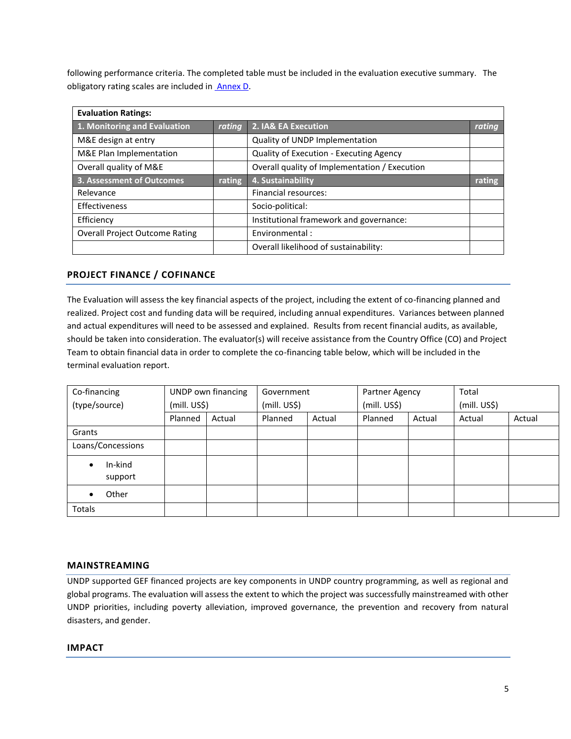following performance criteria. The completed table must be included in the evaluation executive summary. The obligatory rating scales are included in **Annex D**.

| <b>Evaluation Ratings:</b>            |        |                                               |        |  |  |
|---------------------------------------|--------|-----------------------------------------------|--------|--|--|
| 1. Monitoring and Evaluation          | rating | 2. IA& EA Execution                           | rating |  |  |
| M&E design at entry                   |        | Quality of UNDP Implementation                |        |  |  |
| M&E Plan Implementation               |        | Quality of Execution - Executing Agency       |        |  |  |
| Overall quality of M&E                |        | Overall quality of Implementation / Execution |        |  |  |
| 3. Assessment of Outcomes             | rating | 4. Sustainability                             | rating |  |  |
| Relevance                             |        | Financial resources:                          |        |  |  |
| Effectiveness                         |        | Socio-political:                              |        |  |  |
| Efficiency                            |        | Institutional framework and governance:       |        |  |  |
| <b>Overall Project Outcome Rating</b> |        | Environmental:                                |        |  |  |
|                                       |        | Overall likelihood of sustainability:         |        |  |  |

# **PROJECT FINANCE / COFINANCE**

The Evaluation will assess the key financial aspects of the project, including the extent of co-financing planned and realized. Project cost and funding data will be required, including annual expenditures. Variances between planned and actual expenditures will need to be assessed and explained. Results from recent financial audits, as available, should be taken into consideration. The evaluator(s) will receive assistance from the Country Office (CO) and Project Team to obtain financial data in order to complete the co-financing table below, which will be included in the terminal evaluation report.

| Co-financing       |              | UNDP own financing | Government   |        | Partner Agency |        | Total        |        |
|--------------------|--------------|--------------------|--------------|--------|----------------|--------|--------------|--------|
| (type/source)      | (mill. US\$) |                    | (mill. US\$) |        | (mill. US\$)   |        | (mill. US\$) |        |
|                    | Planned      | Actual             | Planned      | Actual | Planned        | Actual | Actual       | Actual |
| Grants             |              |                    |              |        |                |        |              |        |
| Loans/Concessions  |              |                    |              |        |                |        |              |        |
| In-kind<br>support |              |                    |              |        |                |        |              |        |
| Other              |              |                    |              |        |                |        |              |        |
| Totals             |              |                    |              |        |                |        |              |        |

### **MAINSTREAMING**

UNDP supported GEF financed projects are key components in UNDP country programming, as well as regional and global programs. The evaluation will assess the extent to which the project was successfully mainstreamed with other UNDP priorities, including poverty alleviation, improved governance, the prevention and recovery from natural disasters, and gender.

### **IMPACT**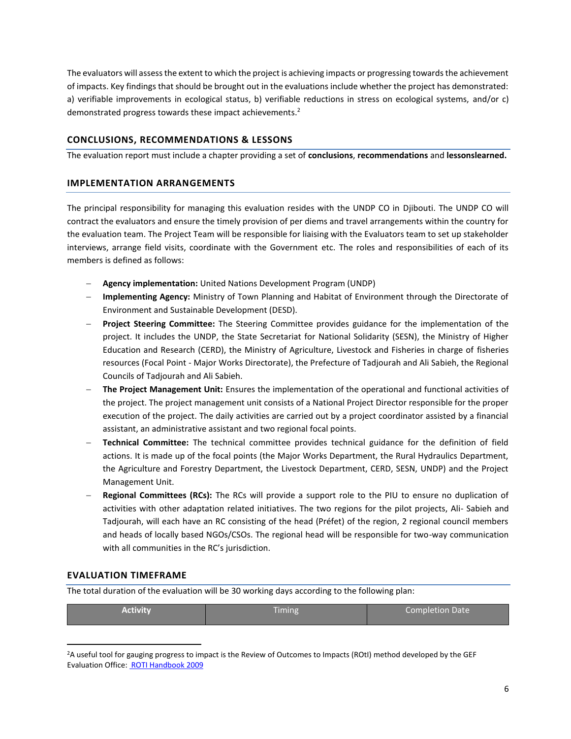The evaluators will assess the extent to which the project is achieving impacts or progressing towards the achievement of impacts. Key findings that should be brought out in the evaluations include whether the project has demonstrated: a) verifiable improvements in ecological status, b) verifiable reductions in stress on ecological systems, and/or c) demonstrated progress towards these impact achievements.<sup>2</sup>

## **CONCLUSIONS, RECOMMENDATIONS & LESSONS**

The evaluation report must include a chapter providing a set of **conclusions**, **recommendations** and **lessonslearned.**

### **IMPLEMENTATION ARRANGEMENTS**

The principal responsibility for managing this evaluation resides with the UNDP CO in Djibouti. The UNDP CO will contract the evaluators and ensure the timely provision of per diems and travel arrangements within the country for the evaluation team. The Project Team will be responsible for liaising with the Evaluators team to set up stakeholder interviews, arrange field visits, coordinate with the Government etc. The roles and responsibilities of each of its members is defined as follows:

- − **Agency implementation:** United Nations Development Program (UNDP)
- − **Implementing Agency:** Ministry of Town Planning and Habitat of Environment through the Directorate of Environment and Sustainable Development (DESD).
- − **Project Steering Committee:** The Steering Committee provides guidance for the implementation of the project. It includes the UNDP, the State Secretariat for National Solidarity (SESN), the Ministry of Higher Education and Research (CERD), the Ministry of Agriculture, Livestock and Fisheries in charge of fisheries resources (Focal Point - Major Works Directorate), the Prefecture of Tadjourah and Ali Sabieh, the Regional Councils of Tadjourah and Ali Sabieh.
- − **The Project Management Unit:** Ensures the implementation of the operational and functional activities of the project. The project management unit consists of a National Project Director responsible for the proper execution of the project. The daily activities are carried out by a project coordinator assisted by a financial assistant, an administrative assistant and two regional focal points.
- − **Technical Committee:** The technical committee provides technical guidance for the definition of field actions. It is made up of the focal points (the Major Works Department, the Rural Hydraulics Department, the Agriculture and Forestry Department, the Livestock Department, CERD, SESN, UNDP) and the Project Management Unit.
- − **Regional Committees (RCs):** The RCs will provide a support role to the PIU to ensure no duplication of activities with other adaptation related initiatives. The two regions for the pilot projects, Ali- Sabieh and Tadjourah, will each have an RC consisting of the head (Préfet) of the region, 2 regional council members and heads of locally based NGOs/CSOs. The regional head will be responsible for two-way communication with all communities in the RC's jurisdiction.

### **EVALUATION TIMEFRAME**

The total duration of the evaluation will be 30 working days according to the following plan:

| Activity | Timing | Completion Date |
|----------|--------|-----------------|
|          |        |                 |

<sup>2</sup>A useful tool for gauging progress to impact is the Review of Outcomes to Impacts (ROtI) method developed by the GEF Evaluation Office[: ROTI Handbook 2009](http://www.thegef.org/gef/sites/thegef.org/files/documents/M2_ROtI%20Handbook.pdf)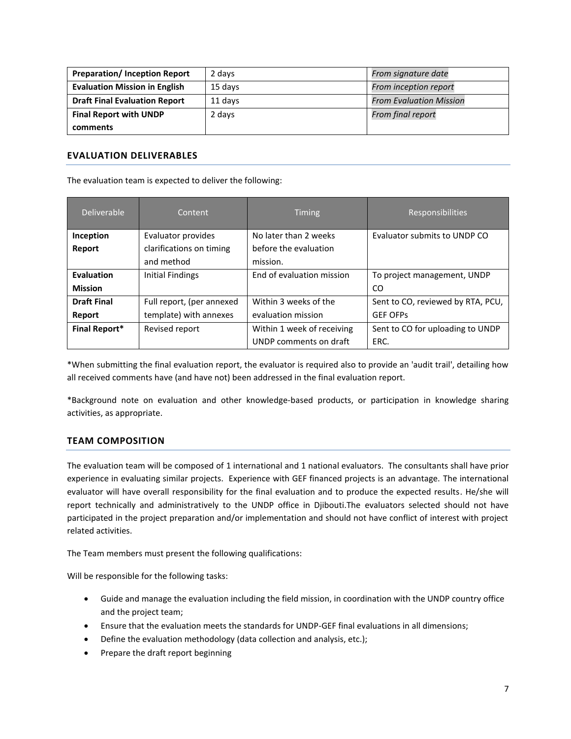| <b>Preparation/Inception Report</b>  | 2 days  | From signature date            |
|--------------------------------------|---------|--------------------------------|
| <b>Evaluation Mission in English</b> | 15 davs | From inception report          |
| <b>Draft Final Evaluation Report</b> | 11 davs | <b>From Evaluation Mission</b> |
| <b>Final Report with UNDP</b>        | 2 days  | From final report              |
| comments                             |         |                                |

## **EVALUATION DELIVERABLES**

The evaluation team is expected to deliver the following:

| Deliverable          | Content                   | <b>Timing</b>              | <b>Responsibilities</b>           |
|----------------------|---------------------------|----------------------------|-----------------------------------|
| Inception            | Evaluator provides        | No later than 2 weeks      | Evaluator submits to UNDP CO      |
| Report               | clarifications on timing  | before the evaluation      |                                   |
|                      | and method                | mission.                   |                                   |
| <b>Evaluation</b>    | Initial Findings          | End of evaluation mission  | To project management, UNDP       |
| <b>Mission</b>       |                           |                            | CO.                               |
| <b>Draft Final</b>   | Full report, (per annexed | Within 3 weeks of the      | Sent to CO, reviewed by RTA, PCU, |
| Report               | template) with annexes    | evaluation mission         | <b>GEF OFPS</b>                   |
| <b>Final Report*</b> | Revised report            | Within 1 week of receiving | Sent to CO for uploading to UNDP  |
|                      |                           | UNDP comments on draft     | ERC.                              |

\*When submitting the final evaluation report, the evaluator is required also to provide an 'audit trail', detailing how all received comments have (and have not) been addressed in the final evaluation report.

\*Background note on evaluation and other knowledge-based products, or participation in knowledge sharing activities, as appropriate.

# **TEAM COMPOSITION**

The evaluation team will be composed of 1 international and 1 national evaluators. The consultants shall have prior experience in evaluating similar projects. Experience with GEF financed projects is an advantage. The international evaluator will have overall responsibility for the final evaluation and to produce the expected results. He/she will report technically and administratively to the UNDP office in Djibouti.The evaluators selected should not have participated in the project preparation and/or implementation and should not have conflict of interest with project related activities.

The Team members must present the following qualifications:

Will be responsible for the following tasks:

- Guide and manage the evaluation including the field mission, in coordination with the UNDP country office and the project team;
- Ensure that the evaluation meets the standards for UNDP-GEF final evaluations in all dimensions;
- Define the evaluation methodology (data collection and analysis, etc.);
- Prepare the draft report beginning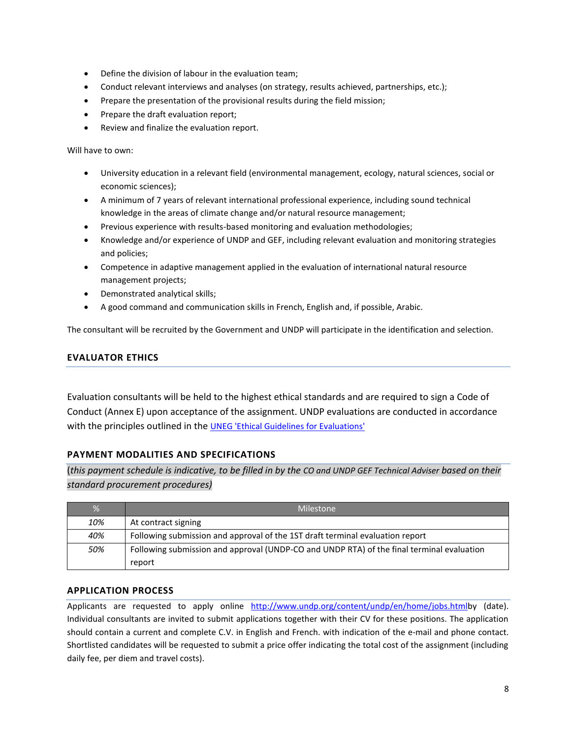- Define the division of labour in the evaluation team;
- Conduct relevant interviews and analyses (on strategy, results achieved, partnerships, etc.);
- Prepare the presentation of the provisional results during the field mission;
- Prepare the draft evaluation report;
- Review and finalize the evaluation report.

Will have to own:

- University education in a relevant field (environmental management, ecology, natural sciences, social or economic sciences);
- A minimum of 7 years of relevant international professional experience, including sound technical knowledge in the areas of climate change and/or natural resource management;
- Previous experience with results-based monitoring and evaluation methodologies;
- Knowledge and/or experience of UNDP and GEF, including relevant evaluation and monitoring strategies and policies;
- Competence in adaptive management applied in the evaluation of international natural resource management projects;
- Demonstrated analytical skills;
- A good command and communication skills in French, English and, if possible, Arabic.

The consultant will be recruited by the Government and UNDP will participate in the identification and selection.

# **EVALUATOR ETHICS**

Evaluation consultants will be held to the highest ethical standards and are required to sign a Code of Conduct (Annex E) upon acceptance of the assignment. UNDP evaluations are conducted in accordance with the principles outlined in the [UNEG 'Ethical Guidelines for Evaluations'](http://www.unevaluation.org/ethicalguidelines)

# **PAYMENT MODALITIES AND SPECIFICATIONS**

(*this payment schedule is indicative, to be filled in by the CO and UNDP GEF Technical Adviser based on their standard procurement procedures)*

| $\frac{9}{6}$ | Milestone                                                                                 |
|---------------|-------------------------------------------------------------------------------------------|
| 10%           | At contract signing                                                                       |
| 40%           | Following submission and approval of the 1ST draft terminal evaluation report             |
| 50%           | Following submission and approval (UNDP-CO and UNDP RTA) of the final terminal evaluation |
|               | report                                                                                    |

### **APPLICATION PROCESS**

Applicants are requested to apply online [http://www.undp.org/content/undp/en/home/jobs.htmlb](http://www.undp.org/content/undp/en/home/jobs.html)y (date). Individual consultants are invited to submit applications together with their CV for these positions. The application should contain a current and complete C.V. in English and French. with indication of the e-mail and phone contact. Shortlisted candidates will be requested to submit a price offer indicating the total cost of the assignment (including daily fee, per diem and travel costs).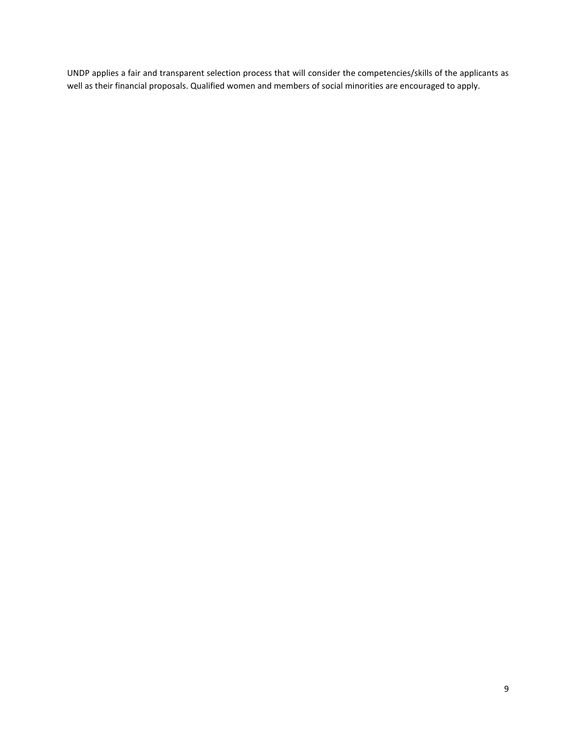UNDP applies a fair and transparent selection process that will consider the competencies/skills of the applicants as well as their financial proposals. Qualified women and members of social minorities are encouraged to apply.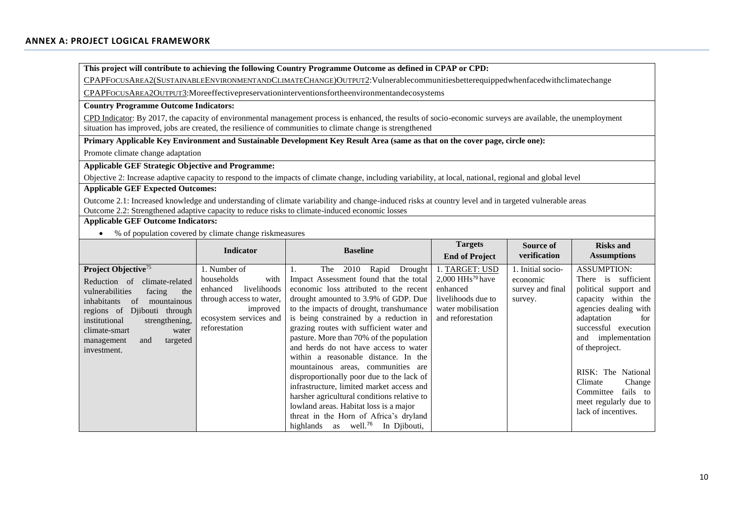**This project will contribute to achieving the following Country Programme Outcome as defined in CPAP or CPD:**

CPAPFOCUSAREA2(SUSTAINABLEENVIRONMENTANDCLIMATECHANGE)OUTPUT2:Vulnerablecommunitiesbetterequippedwhenfacedwithclimatechange

CPAPFOCUSAREA2OUTPUT3:Moreeffectivepreservationinterventionsfortheenvironmentandecosystems

#### **Country Programme Outcome Indicators:**

CPD Indicator: By 2017, the capacity of environmental management process is enhanced, the results of socio-economic surveys are available, the unemployment situation has improved, jobs are created, the resilience of communities to climate change is strengthened

**Primary Applicable Key Environment and Sustainable Development Key Result Area (same as that on the cover page, circle one):**

Promote climate change adaptation

**Applicable GEF Strategic Objective and Programme:**

Objective 2: Increase adaptive capacity to respond to the impacts of climate change, including variability, at local, national, regional and global level

## **Applicable GEF Expected Outcomes:**

<span id="page-9-0"></span>Outcome 2.1: Increased knowledge and understanding of climate variability and change-induced risks at country level and in targeted vulnerable areas Outcome 2.2: Strengthened adaptive capacity to reduce risks to climate-induced economic losses

### **Applicable GEF Outcome Indicators:**

• % of population covered by climate change riskmeasures

|                                                                                                                                                                                                                                                                                           | <b>Indicator</b>                                                                                                                                 | <b>Baseline</b>                                                                                                                                                                                                                                                                                                                                                                                                                                                                                                                                                                                                                                                                                                                                            | <b>Targets</b><br><b>End of Project</b>                                                                                       | Source of<br>verification                                    | <b>Risks and</b><br><b>Assumptions</b>                                                                                                                                                                                                                                                                                                   |
|-------------------------------------------------------------------------------------------------------------------------------------------------------------------------------------------------------------------------------------------------------------------------------------------|--------------------------------------------------------------------------------------------------------------------------------------------------|------------------------------------------------------------------------------------------------------------------------------------------------------------------------------------------------------------------------------------------------------------------------------------------------------------------------------------------------------------------------------------------------------------------------------------------------------------------------------------------------------------------------------------------------------------------------------------------------------------------------------------------------------------------------------------------------------------------------------------------------------------|-------------------------------------------------------------------------------------------------------------------------------|--------------------------------------------------------------|------------------------------------------------------------------------------------------------------------------------------------------------------------------------------------------------------------------------------------------------------------------------------------------------------------------------------------------|
| Project Objective <sup>75</sup><br>Reduction of<br>climate-related<br>vulnerabilities<br>facing<br>the<br>inhabitants<br>mountainous<br>of<br>Diibouti through<br>regions of<br>institutional<br>strengthening,<br>climate-smart<br>water<br>targeted<br>management<br>and<br>investment. | 1. Number of<br>households<br>with<br>livelihoods<br>enhanced<br>through access to water,<br>improved<br>ecosystem services and<br>reforestation | 2010<br>Rapid<br>Drought<br><b>The</b><br>Impact Assessment found that the total<br>economic loss attributed to the recent<br>drought amounted to 3.9% of GDP. Due<br>to the impacts of drought, transhumance<br>is being constrained by a reduction in<br>grazing routes with sufficient water and<br>pasture. More than 70% of the population<br>and herds do not have access to water<br>within a reasonable distance. In the<br>mountainous areas, communities are<br>disproportionally poor due to the lack of<br>infrastructure, limited market access and<br>harsher agricultural conditions relative to<br>lowland areas. Habitat loss is a major<br>threat in the Horn of Africa's dryland<br>as well. <sup>76</sup><br>In Djibouti,<br>highlands | I. TARGET: USD<br>$2,000$ HHs <sup>79</sup> have<br>enhanced<br>livelihoods due to<br>water mobilisation<br>and reforestation | 1. Initial socio-<br>economic<br>survey and final<br>survey. | <b>ASSUMPTION:</b><br>sufficient<br>There<br>1S<br>political support and<br>capacity within the<br>agencies dealing with<br>adaptation<br>for<br>successful<br>execution<br>implementation<br>and<br>of the project.<br>RISK: The National<br>Climate<br>Change<br>fails to<br>Committee<br>meet regularly due to<br>lack of incentives. |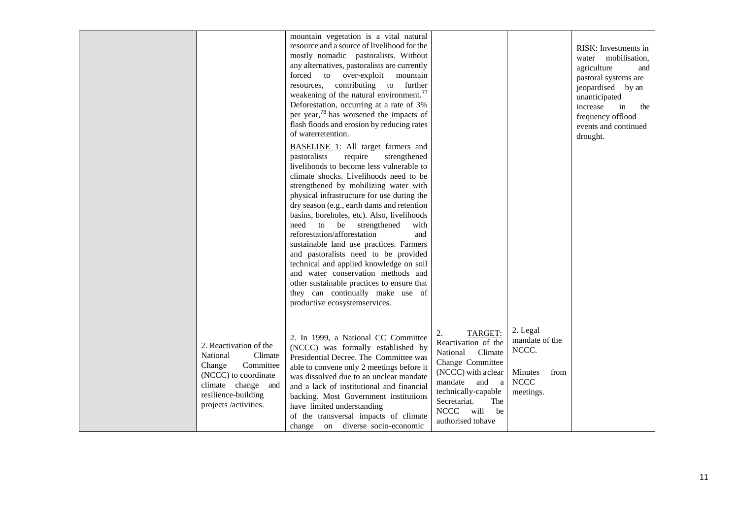|                                                                                                                                                                    | mountain vegetation is a vital natural<br>resource and a source of livelihood for the<br>mostly nomadic pastoralists. Without<br>any alternatives, pastoralists are currently<br>forced to over-exploit mountain<br>resources, contributing to further<br>weakening of the natural environment. <sup>77</sup><br>Deforestation, occurring at a rate of 3%<br>per year, <sup>78</sup> has worsened the impacts of<br>flash floods and erosion by reducing rates<br>of waterretention.<br><b>BASELINE 1:</b> All target farmers and<br>require<br>strengthened<br>pastoralists<br>livelihoods to become less vulnerable to<br>climate shocks. Livelihoods need to be<br>strengthened by mobilizing water with<br>physical infrastructure for use during the<br>dry season (e.g., earth dams and retention<br>basins, boreholes, etc). Also, livelihoods<br>need to be strengthened<br>with<br>reforestation/afforestation<br>and<br>sustainable land use practices. Farmers<br>and pastoralists need to be provided<br>technical and applied knowledge on soil<br>and water conservation methods and<br>other sustainable practices to ensure that<br>they can continually make use of<br>productive ecosystemservices. |                                                                                                                                                                                                                        |                                                                                    | RISK: Investments in<br>water mobilisation,<br>agriculture<br>and<br>pastoral systems are<br>jeopardised by an<br>unanticipated<br>increase<br>in<br>the<br>frequency offlood<br>events and continued<br>drought. |
|--------------------------------------------------------------------------------------------------------------------------------------------------------------------|-----------------------------------------------------------------------------------------------------------------------------------------------------------------------------------------------------------------------------------------------------------------------------------------------------------------------------------------------------------------------------------------------------------------------------------------------------------------------------------------------------------------------------------------------------------------------------------------------------------------------------------------------------------------------------------------------------------------------------------------------------------------------------------------------------------------------------------------------------------------------------------------------------------------------------------------------------------------------------------------------------------------------------------------------------------------------------------------------------------------------------------------------------------------------------------------------------------------------|------------------------------------------------------------------------------------------------------------------------------------------------------------------------------------------------------------------------|------------------------------------------------------------------------------------|-------------------------------------------------------------------------------------------------------------------------------------------------------------------------------------------------------------------|
| 2. Reactivation of the<br>National<br>Climate<br>Committee<br>Change<br>(NCCC) to coordinate<br>climate change and<br>resilience-building<br>projects /activities. | 2. In 1999, a National CC Committee<br>(NCCC) was formally established by<br>Presidential Decree. The Committee was<br>able to convene only 2 meetings before it<br>was dissolved due to an unclear mandate<br>and a lack of institutional and financial<br>backing. Most Government institutions<br>have limited understanding<br>of the transversal impacts of climate<br>change on diverse socio-economic                                                                                                                                                                                                                                                                                                                                                                                                                                                                                                                                                                                                                                                                                                                                                                                                          | 2.<br>TARGET:<br>Reactivation of the<br>Climate<br>National<br>Change Committee<br>(NCCC) with aclear<br>mandate and a<br>technically-capable<br>Secretariat.<br>The<br><b>NCCC</b><br>will<br>be<br>authorised tohave | 2. Legal<br>mandate of the<br>NCCC.<br>Minutes<br>from<br><b>NCCC</b><br>meetings. |                                                                                                                                                                                                                   |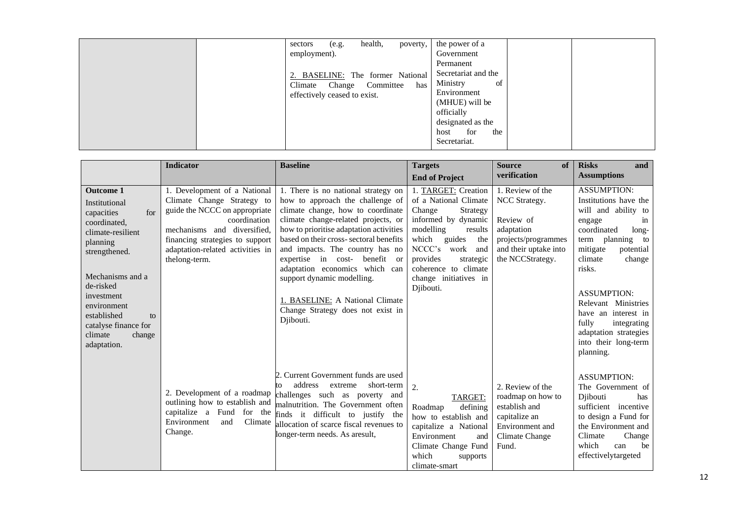|  | health,<br>poverty,<br>(e.g.<br>sectors<br>employment).<br>2. BASELINE: The former National<br>Change Committee<br>has<br>Climate<br>effectively ceased to exist. | the power of a<br>Government<br>Permanent<br>Secretariat and the<br>Ministry<br>of<br>Environment<br>(MHUE) will be<br>officially<br>designated as the<br>for<br>host<br>the<br>Secretariat. |
|--|-------------------------------------------------------------------------------------------------------------------------------------------------------------------|----------------------------------------------------------------------------------------------------------------------------------------------------------------------------------------------|
|--|-------------------------------------------------------------------------------------------------------------------------------------------------------------------|----------------------------------------------------------------------------------------------------------------------------------------------------------------------------------------------|

|                                                                                                                                                                                                                                                                         | <b>Indicator</b>                                                                                                                                                                                                                   | <b>Baseline</b>                                                                                                                                                                                                                                                                                                                                                                                                                                                                    | <b>Targets</b>                                                                                                                                                                                                                                           | <b>Source</b><br>of                                                                                                              | <b>Risks</b><br>and                                                                                                                                                                                                                                                                                                                                     |
|-------------------------------------------------------------------------------------------------------------------------------------------------------------------------------------------------------------------------------------------------------------------------|------------------------------------------------------------------------------------------------------------------------------------------------------------------------------------------------------------------------------------|------------------------------------------------------------------------------------------------------------------------------------------------------------------------------------------------------------------------------------------------------------------------------------------------------------------------------------------------------------------------------------------------------------------------------------------------------------------------------------|----------------------------------------------------------------------------------------------------------------------------------------------------------------------------------------------------------------------------------------------------------|----------------------------------------------------------------------------------------------------------------------------------|---------------------------------------------------------------------------------------------------------------------------------------------------------------------------------------------------------------------------------------------------------------------------------------------------------------------------------------------------------|
|                                                                                                                                                                                                                                                                         |                                                                                                                                                                                                                                    |                                                                                                                                                                                                                                                                                                                                                                                                                                                                                    | <b>End of Project</b>                                                                                                                                                                                                                                    | verification                                                                                                                     | <b>Assumptions</b>                                                                                                                                                                                                                                                                                                                                      |
| <b>Outcome 1</b><br>Institutional<br>for<br>capacities<br>coordinated,<br>climate-resilient<br>planning<br>strengthened.<br>Mechanisms and a<br>de-risked<br>investment<br>environment<br>established<br>to<br>catalyse finance for<br>climate<br>change<br>adaptation. | 1. Development of a National<br>Climate Change Strategy to<br>guide the NCCC on appropriate<br>coordination<br>mechanisms and diversified,<br>financing strategies to support<br>adaptation-related activities in<br>thelong-term. | 1. There is no national strategy on<br>how to approach the challenge of<br>climate change, how to coordinate<br>climate change-related projects, or<br>how to prioritise adaptation activities<br>based on their cross-sectoral benefits<br>and impacts. The country has no<br>expertise in cost-<br>benefit<br><sub>or</sub><br>adaptation economics which can<br>support dynamic modelling.<br>1. BASELINE: A National Climate<br>Change Strategy does not exist in<br>Djibouti. | 1. TARGET: Creation<br>of a National Climate<br>Change<br>Strategy<br>informed by dynamic<br>modelling<br>results<br>which guides<br>the<br>NCCC's<br>work<br>and<br>provides<br>strategic<br>coherence to climate<br>change initiatives in<br>Djibouti. | 1. Review of the<br>NCC Strategy.<br>Review of<br>adaptation<br>projects/programmes<br>and their uptake into<br>the NCCStrategy. | <b>ASSUMPTION:</b><br>Institutions have the<br>will and ability to<br>engage<br>$\sin$<br>coordinated<br>long-<br>planning to<br>term<br>mitigate<br>potential<br>change<br>climate<br>risks.<br><b>ASSUMPTION:</b><br>Relevant Ministries<br>have an interest in<br>fully<br>integrating<br>adaptation strategies<br>into their long-term<br>planning. |
|                                                                                                                                                                                                                                                                         | 2. Development of a roadmap<br>outlining how to establish and<br>capitalize a Fund for the<br>Environment<br>Climate<br>and<br>Change.                                                                                             | 2. Current Government funds are used<br>address<br>extreme<br>short-term<br>to<br>challenges such as poverty and<br>malnutrition. The Government often<br>finds it difficult to justify the<br>allocation of scarce fiscal revenues to<br>longer-term needs. As aresult,                                                                                                                                                                                                           | 2.<br>TARGET:<br>defining<br>Roadmap<br>how to establish and<br>capitalize a National<br>Environment<br>and<br>Climate Change Fund<br>which<br>supports<br>climate-smart                                                                                 | 2. Review of the<br>roadmap on how to<br>establish and<br>capitalize an<br>Environment and<br>Climate Change<br>Fund.            | <b>ASSUMPTION:</b><br>The Government of<br>Djibouti<br>has<br>sufficient incentive<br>to design a Fund for<br>the Environment and<br>Climate<br>Change<br>which<br>be<br>can<br>effectivelytargeted                                                                                                                                                     |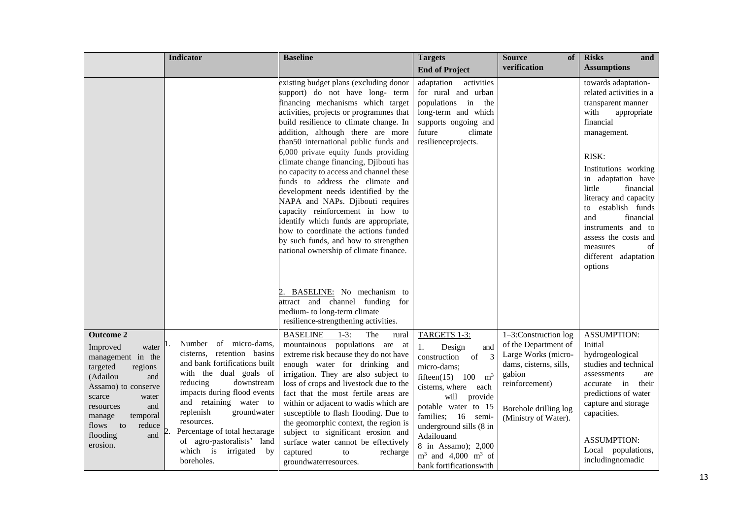|                                                                                                                                                                                                                                               | <b>Indicator</b>                                                                                                                                                                                                                                                                                                                                           | <b>Baseline</b>                                                                                                                                                                                                                                                                                                                                                                                                                                                                                                                                                                                                                                                                                                                      | <b>Targets</b>                                                                                                                                                                                                                                                                                                                           | <b>Source</b><br>of                                                                                                                                                           | <b>Risks</b><br>and                                                                                                                                                                                                                                                                                                                                                         |
|-----------------------------------------------------------------------------------------------------------------------------------------------------------------------------------------------------------------------------------------------|------------------------------------------------------------------------------------------------------------------------------------------------------------------------------------------------------------------------------------------------------------------------------------------------------------------------------------------------------------|--------------------------------------------------------------------------------------------------------------------------------------------------------------------------------------------------------------------------------------------------------------------------------------------------------------------------------------------------------------------------------------------------------------------------------------------------------------------------------------------------------------------------------------------------------------------------------------------------------------------------------------------------------------------------------------------------------------------------------------|------------------------------------------------------------------------------------------------------------------------------------------------------------------------------------------------------------------------------------------------------------------------------------------------------------------------------------------|-------------------------------------------------------------------------------------------------------------------------------------------------------------------------------|-----------------------------------------------------------------------------------------------------------------------------------------------------------------------------------------------------------------------------------------------------------------------------------------------------------------------------------------------------------------------------|
|                                                                                                                                                                                                                                               |                                                                                                                                                                                                                                                                                                                                                            |                                                                                                                                                                                                                                                                                                                                                                                                                                                                                                                                                                                                                                                                                                                                      | <b>End of Project</b>                                                                                                                                                                                                                                                                                                                    | verification                                                                                                                                                                  | <b>Assumptions</b>                                                                                                                                                                                                                                                                                                                                                          |
|                                                                                                                                                                                                                                               |                                                                                                                                                                                                                                                                                                                                                            | existing budget plans (excluding donor<br>support) do not have long- term<br>financing mechanisms which target<br>activities, projects or programmes that<br>build resilience to climate change. In<br>addition, although there are more<br>than50 international public funds and<br>6,000 private equity funds providing<br>climate change financing, Djibouti has<br>no capacity to access and channel these<br>funds to address the climate and<br>development needs identified by the<br>NAPA and NAPs. Djibouti requires<br>capacity reinforcement in how to<br>identify which funds are appropriate,<br>how to coordinate the actions funded<br>by such funds, and how to strengthen<br>national ownership of climate finance. | adaptation<br>activities<br>for rural and urban<br>populations in the<br>long-term and which<br>supports ongoing and<br>future<br>climate<br>resilienceprojects.                                                                                                                                                                         |                                                                                                                                                                               | towards adaptation-<br>related activities in a<br>transparent manner<br>with<br>appropriate<br>financial<br>management.<br>RISK:<br>Institutions working<br>in adaptation have<br>little<br>financial<br>literacy and capacity<br>to establish funds<br>and<br>financial<br>instruments and to<br>assess the costs and<br>measures<br>οf<br>different adaptation<br>options |
|                                                                                                                                                                                                                                               |                                                                                                                                                                                                                                                                                                                                                            | BASELINE: No mechanism to<br>attract and channel funding for<br>medium- to long-term climate<br>resilience-strengthening activities.                                                                                                                                                                                                                                                                                                                                                                                                                                                                                                                                                                                                 |                                                                                                                                                                                                                                                                                                                                          |                                                                                                                                                                               |                                                                                                                                                                                                                                                                                                                                                                             |
| <b>Outcome 2</b><br>Improved<br>water<br>management in the<br>targeted<br>regions<br>(Adailou<br>and<br>Assamo) to conserve<br>scarce<br>water<br>and<br>resources<br>temporal<br>manage<br>flows to<br>reduce<br>flooding<br>and<br>erosion. | of micro-dams,<br>Number<br>cisterns, retention basins<br>and bank fortifications built<br>with the dual goals of<br>reducing<br>downstream<br>impacts during flood events<br>and retaining water to<br>replenish<br>groundwater<br>resources.<br>Percentage of total hectarage<br>of agro-pastoralists' land<br>which is<br>irrigated<br>by<br>boreholes. | <b>BASELINE</b><br>$1-3:$<br>The<br>rural<br>mountainous populations are at<br>extreme risk because they do not have<br>enough water for drinking and<br>irrigation. They are also subject to<br>loss of crops and livestock due to the<br>fact that the most fertile areas are<br>within or adjacent to wadis which are<br>susceptible to flash flooding. Due to<br>the geomorphic context, the region is<br>subject to significant erosion and<br>surface water cannot be effectively<br>captured<br>to<br>recharge<br>groundwaterresources.                                                                                                                                                                                       | TARGETS 1-3:<br>1.<br>Design<br>and<br>$\overline{3}$<br>construction<br>of<br>micro-dams;<br>fifteen(15) $100 \text{ m}^3$<br>cisterns, where each<br>will provide<br>potable water to 15<br>families; 16 semi-<br>underground sills (8 in<br>Adailouand<br>8 in Assamo); 2,000<br>$m^3$ and 4,000 $m^3$ of<br>bank fortifications with | $1-3$ :Construction log<br>of the Department of<br>Large Works (micro-<br>dams, cisterns, sills,<br>gabion<br>reinforcement)<br>Borehole drilling log<br>(Ministry of Water). | <b>ASSUMPTION:</b><br>Initial<br>hydrogeological<br>studies and technical<br>assessments<br>are<br>their<br>accurate in<br>predictions of water<br>capture and storage<br>capacities.<br><b>ASSUMPTION:</b><br>Local populations,<br>including nomadic                                                                                                                      |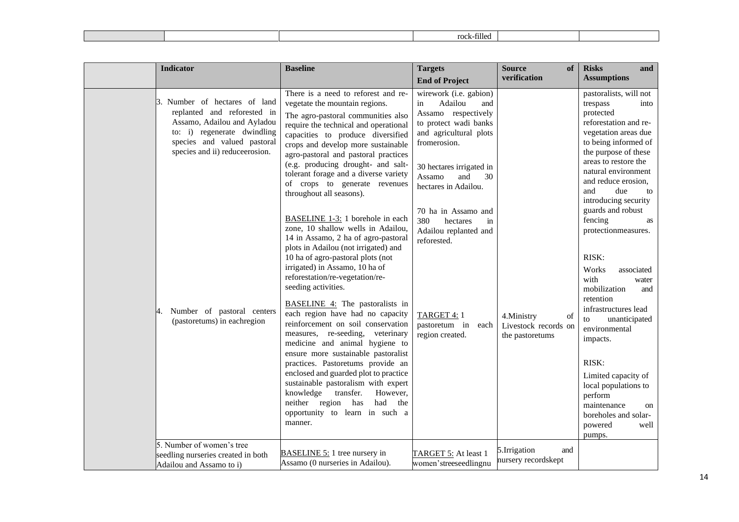|--|

| 3. Number of hectares of land<br>replanted and reforested in<br>Assamo, Adailou and Ayladou<br>to: i) regenerate dwindling<br>species and valued pastoral<br>species and ii) reduceerosion. |                                                                                                                                                                                                                                                                                                                                                                                                                                                                                                                                                                                                                                                                                                                                                                                                                                                                                                                                                                                                                                                                                                                                                                    | <b>Targets</b>                                                                                                                                                                                                                                                                                                                                                         | <b>Source</b><br>of                                          | <b>Risks</b><br>and                                                                                                                                                                                                                                                                                                                                                                                                                                                                                                                                                                                                                                              |
|---------------------------------------------------------------------------------------------------------------------------------------------------------------------------------------------|--------------------------------------------------------------------------------------------------------------------------------------------------------------------------------------------------------------------------------------------------------------------------------------------------------------------------------------------------------------------------------------------------------------------------------------------------------------------------------------------------------------------------------------------------------------------------------------------------------------------------------------------------------------------------------------------------------------------------------------------------------------------------------------------------------------------------------------------------------------------------------------------------------------------------------------------------------------------------------------------------------------------------------------------------------------------------------------------------------------------------------------------------------------------|------------------------------------------------------------------------------------------------------------------------------------------------------------------------------------------------------------------------------------------------------------------------------------------------------------------------------------------------------------------------|--------------------------------------------------------------|------------------------------------------------------------------------------------------------------------------------------------------------------------------------------------------------------------------------------------------------------------------------------------------------------------------------------------------------------------------------------------------------------------------------------------------------------------------------------------------------------------------------------------------------------------------------------------------------------------------------------------------------------------------|
|                                                                                                                                                                                             |                                                                                                                                                                                                                                                                                                                                                                                                                                                                                                                                                                                                                                                                                                                                                                                                                                                                                                                                                                                                                                                                                                                                                                    | <b>End of Project</b>                                                                                                                                                                                                                                                                                                                                                  | verification                                                 | <b>Assumptions</b>                                                                                                                                                                                                                                                                                                                                                                                                                                                                                                                                                                                                                                               |
| Number of pastoral centers<br>4.<br>(pastoretums) in eachregion<br>knowledge<br>manner.                                                                                                     | There is a need to reforest and re-<br>vegetate the mountain regions.<br>The agro-pastoral communities also<br>require the technical and operational<br>capacities to produce diversified<br>crops and develop more sustainable<br>agro-pastoral and pastoral practices<br>(e.g. producing drought- and salt-<br>tolerant forage and a diverse variety<br>of crops to generate revenues<br>throughout all seasons).<br>BASELINE 1-3: 1 borehole in each<br>zone, 10 shallow wells in Adailou,<br>14 in Assamo, 2 ha of agro-pastoral<br>plots in Adailou (not irrigated) and<br>10 ha of agro-pastoral plots (not<br>irrigated) in Assamo, 10 ha of<br>reforestation/re-vegetation/re-<br>seeding activities.<br><b>BASELINE 4:</b> The pastoralists in<br>each region have had no capacity<br>reinforcement on soil conservation<br>measures, re-seeding, veterinary<br>medicine and animal hygiene to<br>ensure more sustainable pastoralist<br>practices. Pastoretums provide an<br>enclosed and guarded plot to practice<br>sustainable pastoralism with expert<br>transfer.<br>However,<br>had<br>neither region has<br>the<br>opportunity to learn in such a | wirework (i.e. gabion)<br>Adailou<br>in<br>and<br>Assamo respectively<br>to protect wadi banks<br>and agricultural plots<br>fromerosion.<br>30 hectares irrigated in<br>Assamo<br>and<br>30<br>hectares in Adailou.<br>70 ha in Assamo and<br>380<br>hectares<br>in<br>Adailou replanted and<br>reforested.<br>TARGET 4: 1<br>pastoretum in<br>each<br>region created. | 4. Ministry<br>of<br>Livestock records on<br>the pastoretums | pastoralists, will not<br>trespass<br>into<br>protected<br>reforestation and re-<br>vegetation areas due<br>to being informed of<br>the purpose of these<br>areas to restore the<br>natural environment<br>and reduce erosion,<br>due<br>and<br>to<br>introducing security<br>guards and robust<br>fencing<br>as<br>protectionmeasures.<br>RISK:<br>Works<br>associated<br>with<br>water<br>mobilization<br>and<br>retention<br>infrastructures lead<br>unanticipated<br>to<br>environmental<br>impacts.<br>RISK:<br>Limited capacity of<br>local populations to<br>perform<br>maintenance<br><sub>on</sub><br>boreholes and solar-<br>powered<br>well<br>pumps. |
| 5. Number of women's tree<br>seedling nurseries created in both<br>Assamo (0 nurseries in Adailou).<br>Adailou and Assamo to i)                                                             | <b>BASELINE 5:</b> 1 tree nursery in                                                                                                                                                                                                                                                                                                                                                                                                                                                                                                                                                                                                                                                                                                                                                                                                                                                                                                                                                                                                                                                                                                                               | TARGET 5: At least 1                                                                                                                                                                                                                                                                                                                                                   | 5.Irrigation<br>and<br>nursery recordskept                   |                                                                                                                                                                                                                                                                                                                                                                                                                                                                                                                                                                                                                                                                  |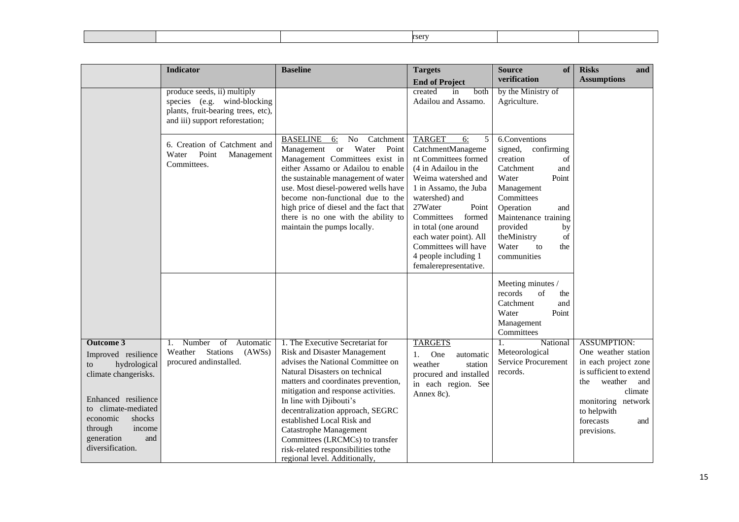|--|--|--|--|--|--|--|

|                                                                                                                                | <b>Indicator</b>                                                                                                                    | <b>Baseline</b>                                                                                                                                                                                                                                                                                                                                                                                 | <b>Targets</b>                                                                                                                                                                                                                                                                                                                         | <b>Source</b><br>of                                                                                                                                                                                                                                | <b>Risks</b><br>and                                                                                        |
|--------------------------------------------------------------------------------------------------------------------------------|-------------------------------------------------------------------------------------------------------------------------------------|-------------------------------------------------------------------------------------------------------------------------------------------------------------------------------------------------------------------------------------------------------------------------------------------------------------------------------------------------------------------------------------------------|----------------------------------------------------------------------------------------------------------------------------------------------------------------------------------------------------------------------------------------------------------------------------------------------------------------------------------------|----------------------------------------------------------------------------------------------------------------------------------------------------------------------------------------------------------------------------------------------------|------------------------------------------------------------------------------------------------------------|
|                                                                                                                                |                                                                                                                                     |                                                                                                                                                                                                                                                                                                                                                                                                 | <b>End of Project</b>                                                                                                                                                                                                                                                                                                                  | verification                                                                                                                                                                                                                                       | <b>Assumptions</b>                                                                                         |
|                                                                                                                                | produce seeds, ii) multiply<br>species (e.g. wind-blocking<br>plants, fruit-bearing trees, etc),<br>and iii) support reforestation; |                                                                                                                                                                                                                                                                                                                                                                                                 | created<br>both<br>in<br>Adailou and Assamo.                                                                                                                                                                                                                                                                                           | by the Ministry of<br>Agriculture.                                                                                                                                                                                                                 |                                                                                                            |
|                                                                                                                                | 6. Creation of Catchment and<br>Point<br>Water<br>Management<br>Committees.                                                         | <b>BASELINE</b><br>Catchment<br>No<br>6:<br>Water<br>Management<br><b>or</b><br>Point<br>Management Committees exist in<br>either Assamo or Adailou to enable<br>the sustainable management of water<br>use. Most diesel-powered wells have<br>become non-functional due to the<br>high price of diesel and the fact that<br>there is no one with the ability to<br>maintain the pumps locally. | <b>TARGET</b><br>6:<br>5<br>CatchmentManageme<br>nt Committees formed<br>(4 in Adailou in the<br>Weima watershed and<br>1 in Assamo, the Juba<br>watershed) and<br>27Water<br>Point<br>Committees<br>formed<br>in total (one around<br>each water point). All<br>Committees will have<br>4 people including 1<br>femalerepresentative. | 6.Conventions<br>signed,<br>confirming<br>creation<br>of<br>Catchment<br>and<br>Water<br>Point<br>Management<br>Committees<br>Operation<br>and<br>Maintenance training<br>provided<br>by<br>theMinistry<br>of<br>Water<br>to<br>the<br>communities |                                                                                                            |
|                                                                                                                                |                                                                                                                                     |                                                                                                                                                                                                                                                                                                                                                                                                 |                                                                                                                                                                                                                                                                                                                                        | Meeting minutes /<br>records<br>of<br>the<br>Catchment<br>and<br>Water<br>Point<br>Management<br>Committees                                                                                                                                        |                                                                                                            |
| <b>Outcome 3</b>                                                                                                               | Number<br>Automatic<br>of<br>1.                                                                                                     | 1. The Executive Secretariat for                                                                                                                                                                                                                                                                                                                                                                | <b>TARGETS</b>                                                                                                                                                                                                                                                                                                                         | National<br>1.                                                                                                                                                                                                                                     | <b>ASSUMPTION:</b>                                                                                         |
| Improved resilience<br>hydrological<br>to<br>climate changerisks.                                                              | <b>Stations</b><br>Weather<br>(AWSs)<br>procured andinstalled.                                                                      | <b>Risk and Disaster Management</b><br>advises the National Committee on<br>Natural Disasters on technical<br>matters and coordinates prevention,<br>mitigation and response activities.                                                                                                                                                                                                        | One<br>automatic<br>1.<br>weather<br>station<br>procured and installed<br>in each region. See<br>Annex 8c).                                                                                                                                                                                                                            | Meteorological<br><b>Service Procurement</b><br>records.                                                                                                                                                                                           | One weather station<br>in each project zone<br>is sufficient to extend<br>weather<br>the<br>and<br>climate |
| Enhanced resilience<br>to climate-mediated<br>economic<br>shocks<br>through<br>income<br>generation<br>and<br>diversification. |                                                                                                                                     | In line with Djibouti's<br>decentralization approach, SEGRC<br>established Local Risk and<br><b>Catastrophe Management</b><br>Committees (LRCMCs) to transfer<br>risk-related responsibilities tothe                                                                                                                                                                                            |                                                                                                                                                                                                                                                                                                                                        |                                                                                                                                                                                                                                                    | monitoring network<br>to helpwith<br>forecasts<br>and<br>previsions.                                       |
|                                                                                                                                |                                                                                                                                     | regional level. Additionally,                                                                                                                                                                                                                                                                                                                                                                   |                                                                                                                                                                                                                                                                                                                                        |                                                                                                                                                                                                                                                    |                                                                                                            |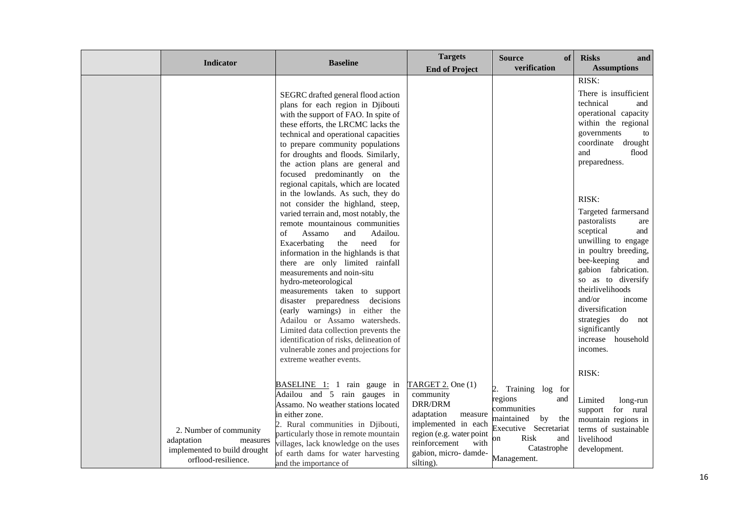| Indicator                                                                                               | <b>Baseline</b>                                                                                                                                                                                                                                                                                                                                                                                                                                                                                                                                                                                                                                                                                                                                                                                                                                                                                                                                                                                                       | <b>Targets</b><br><b>End of Project</b>                                                                                                                                             | <b>Source</b><br>of<br>verification                                                                                                                         | <b>Risks</b><br>and<br><b>Assumptions</b>                                                                                                                                                                                                                                                                                                                                                                                                                                                                     |
|---------------------------------------------------------------------------------------------------------|-----------------------------------------------------------------------------------------------------------------------------------------------------------------------------------------------------------------------------------------------------------------------------------------------------------------------------------------------------------------------------------------------------------------------------------------------------------------------------------------------------------------------------------------------------------------------------------------------------------------------------------------------------------------------------------------------------------------------------------------------------------------------------------------------------------------------------------------------------------------------------------------------------------------------------------------------------------------------------------------------------------------------|-------------------------------------------------------------------------------------------------------------------------------------------------------------------------------------|-------------------------------------------------------------------------------------------------------------------------------------------------------------|---------------------------------------------------------------------------------------------------------------------------------------------------------------------------------------------------------------------------------------------------------------------------------------------------------------------------------------------------------------------------------------------------------------------------------------------------------------------------------------------------------------|
|                                                                                                         | SEGRC drafted general flood action<br>plans for each region in Djibouti<br>with the support of FAO. In spite of<br>these efforts, the LRCMC lacks the<br>technical and operational capacities<br>to prepare community populations<br>for droughts and floods. Similarly,<br>the action plans are general and<br>focused predominantly on the<br>regional capitals, which are located<br>in the lowlands. As such, they do<br>not consider the highland, steep,<br>varied terrain and, most notably, the<br>remote mountainous communities<br>Assamo<br>and<br>Adailou.<br>of<br>need<br>Exacerbating<br>the<br>for<br>information in the highlands is that<br>there are only limited rainfall<br>measurements and noin-situ<br>hydro-meteorological<br>measurements taken to support<br>disaster preparedness decisions<br>(early warnings) in either the<br>Adailou or Assamo watersheds.<br>Limited data collection prevents the<br>identification of risks, delineation of<br>vulnerable zones and projections for |                                                                                                                                                                                     |                                                                                                                                                             | RISK:<br>There is insufficient<br>technical<br>and<br>operational capacity<br>within the regional<br>governments<br>to<br>coordinate drought<br>and<br>flood<br>preparedness.<br>RISK:<br>Targeted farmersand<br>pastoralists<br>are<br>sceptical<br>and<br>unwilling to engage<br>in poultry breeding,<br>bee-keeping<br>and<br>gabion fabrication.<br>so as to diversify<br>theirlivelihoods<br>and/or<br>income<br>diversification<br>strategies do not<br>significantly<br>increase household<br>incomes. |
| 2. Number of community<br>adaptation<br>measures<br>implemented to build drought<br>orflood-resilience. | extreme weather events.<br>BASELINE 1: 1 rain gauge in<br>Adailou and 5 rain gauges in<br>Assamo. No weather stations located<br>in either zone.<br>2. Rural communities in Djibouti,<br>particularly those in remote mountain<br>villages, lack knowledge on the uses<br>of earth dams for water harvesting<br>and the importance of                                                                                                                                                                                                                                                                                                                                                                                                                                                                                                                                                                                                                                                                                 | TARGET 2. One (1)<br>community<br>DRR/DRM<br>adaptation<br>measure<br>implemented in each<br>region (e.g. water point<br>reinforcement<br>with<br>gabion, micro-damde-<br>silting). | 2. Training log for<br>regions<br>and<br>communities<br>maintained<br>by<br>the<br>Executive Secretariat<br>Risk<br>and<br>on<br>Catastrophe<br>Management. | RISK:<br>Limited<br>long-run<br>support for rural<br>mountain regions in<br>terms of sustainable<br>livelihood<br>development.                                                                                                                                                                                                                                                                                                                                                                                |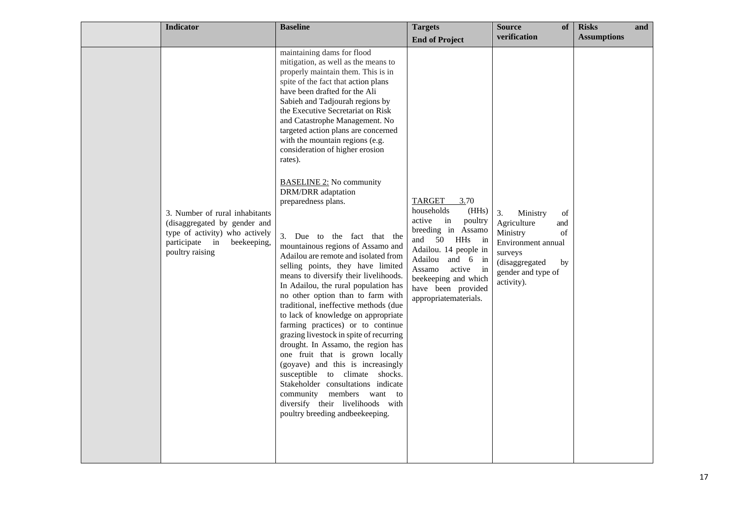| <b>Indicator</b>                                                                                                                                     | <b>Baseline</b>                                                                                                                                                                                                                                                                                                                                                                                                                                                                                                                                                                                                                                                                                                                                                                                                                                                                                                                                                                                                                                                                                                                                                                                                                            | <b>Targets</b>                                                                                                                                                                                                                                     | of<br><b>Source</b>                                                                                                                                                                                                                                       | <b>Risks</b>       | and |
|------------------------------------------------------------------------------------------------------------------------------------------------------|--------------------------------------------------------------------------------------------------------------------------------------------------------------------------------------------------------------------------------------------------------------------------------------------------------------------------------------------------------------------------------------------------------------------------------------------------------------------------------------------------------------------------------------------------------------------------------------------------------------------------------------------------------------------------------------------------------------------------------------------------------------------------------------------------------------------------------------------------------------------------------------------------------------------------------------------------------------------------------------------------------------------------------------------------------------------------------------------------------------------------------------------------------------------------------------------------------------------------------------------|----------------------------------------------------------------------------------------------------------------------------------------------------------------------------------------------------------------------------------------------------|-----------------------------------------------------------------------------------------------------------------------------------------------------------------------------------------------------------------------------------------------------------|--------------------|-----|
|                                                                                                                                                      |                                                                                                                                                                                                                                                                                                                                                                                                                                                                                                                                                                                                                                                                                                                                                                                                                                                                                                                                                                                                                                                                                                                                                                                                                                            | <b>End of Project</b>                                                                                                                                                                                                                              | verification                                                                                                                                                                                                                                              | <b>Assumptions</b> |     |
| 3. Number of rural inhabitants<br>(disaggregated by gender and<br>type of activity) who actively<br>participate in<br>beekeeping,<br>poultry raising | maintaining dams for flood<br>mitigation, as well as the means to<br>properly maintain them. This is in<br>spite of the fact that action plans<br>have been drafted for the Ali<br>Sabieh and Tadjourah regions by<br>the Executive Secretariat on Risk<br>and Catastrophe Management. No<br>targeted action plans are concerned<br>with the mountain regions (e.g.<br>consideration of higher erosion<br>rates).<br><b>BASELINE 2:</b> No community<br><b>DRM/DRR</b> adaptation<br>preparedness plans.<br>3. Due to the fact that the<br>mountainous regions of Assamo and<br>Adailou are remote and isolated from<br>selling points, they have limited<br>means to diversify their livelihoods.<br>In Adailou, the rural population has<br>no other option than to farm with<br>traditional, ineffective methods (due<br>to lack of knowledge on appropriate<br>farming practices) or to continue<br>grazing livestock in spite of recurring<br>drought. In Assamo, the region has<br>one fruit that is grown locally<br>(goyave) and this is increasingly<br>susceptible to climate shocks.<br>Stakeholder consultations indicate<br>community members want to<br>diversify their livelihoods with<br>poultry breeding and beekeeping. | TARGET<br>3.70<br>households<br>(HHs)<br>active in<br>poultry<br>breeding in Assamo<br>and 50 HHs in<br>Adailou. 14 people in<br>Adailou<br>and 6 in<br>Assamo<br>active in<br>beekeeping and which<br>have been provided<br>appropriatematerials. | 3.<br>Ministry<br>of<br>Agriculture<br>and<br>$% \left( \left( \mathcal{A},\mathcal{A}\right) \right) =\left( \mathcal{A},\mathcal{A}\right)$ of<br>Ministry<br>Environment annual<br>surveys<br>(disaggregated<br>by<br>gender and type of<br>activity). |                    |     |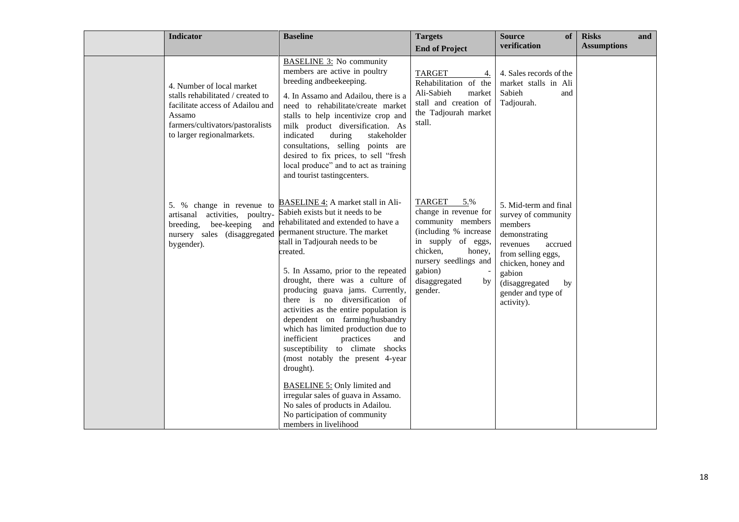| <b>Indicator</b>                                                                                                                                                               | <b>Baseline</b>                                                                                                                                                                                                                                                                                                                                                                                                                                                                                                                                                                                                                                                                                                                                                        | <b>Targets</b>                                                                                                                                                                                         | of<br><b>Source</b>                                                                                                                                                                                               | <b>Risks</b>       | and |
|--------------------------------------------------------------------------------------------------------------------------------------------------------------------------------|------------------------------------------------------------------------------------------------------------------------------------------------------------------------------------------------------------------------------------------------------------------------------------------------------------------------------------------------------------------------------------------------------------------------------------------------------------------------------------------------------------------------------------------------------------------------------------------------------------------------------------------------------------------------------------------------------------------------------------------------------------------------|--------------------------------------------------------------------------------------------------------------------------------------------------------------------------------------------------------|-------------------------------------------------------------------------------------------------------------------------------------------------------------------------------------------------------------------|--------------------|-----|
|                                                                                                                                                                                |                                                                                                                                                                                                                                                                                                                                                                                                                                                                                                                                                                                                                                                                                                                                                                        | <b>End of Project</b>                                                                                                                                                                                  | verification                                                                                                                                                                                                      | <b>Assumptions</b> |     |
| 4. Number of local market<br>stalls rehabilitated / created to<br>facilitate access of Adailou and<br>Assamo<br>farmers/cultivators/pastoralists<br>to larger regionalmarkets. | <b>BASELINE 3:</b> No community<br>members are active in poultry<br>breeding andbeekeeping.<br>4. In Assamo and Adailou, there is a<br>need to rehabilitate/create market<br>stalls to help incentivize crop and<br>milk product diversification. As<br>indicated<br>during<br>stakeholder<br>consultations, selling points are<br>desired to fix prices, to sell "fresh<br>local produce" and to act as training<br>and tourist tastingcenters.                                                                                                                                                                                                                                                                                                                       | <b>TARGET</b><br>4.<br>Rehabilitation of the<br>Ali-Sabieh<br>market<br>stall and creation of<br>the Tadjourah market<br>stall.                                                                        | 4. Sales records of the<br>market stalls in Ali<br>Sabieh<br>and<br>Tadjourah.                                                                                                                                    |                    |     |
| 5. % change in revenue to<br>activities, poultry-<br>artisanal<br>bee-keeping and<br>breeding,<br>nursery sales (disaggregated<br>bygender).                                   | BASELINE 4: A market stall in Ali-<br>Sabieh exists but it needs to be<br>rehabilitated and extended to have a<br>permanent structure. The market<br>stall in Tadjourah needs to be<br>created.<br>5. In Assamo, prior to the repeated<br>drought, there was a culture of<br>producing guava jams. Currently,<br>there is no diversification of<br>activities as the entire population is<br>dependent on farming/husbandry<br>which has limited production due to<br>inefficient<br>practices<br>and<br>susceptibility to climate shocks<br>(most notably the present 4-year<br>drought).<br><b>BASELINE 5:</b> Only limited and<br>irregular sales of guava in Assamo.<br>No sales of products in Adailou.<br>No participation of community<br>members in livelihood | TARGET<br>5.%<br>change in revenue for<br>community members<br>(including % increase<br>in supply of eggs,<br>chicken,<br>honey,<br>nursery seedlings and<br>gabion)<br>disaggregated<br>by<br>gender. | 5. Mid-term and final<br>survey of community<br>members<br>demonstrating<br>revenues<br>accrued<br>from selling eggs,<br>chicken, honey and<br>gabion<br>(disaggregated<br>by<br>gender and type of<br>activity). |                    |     |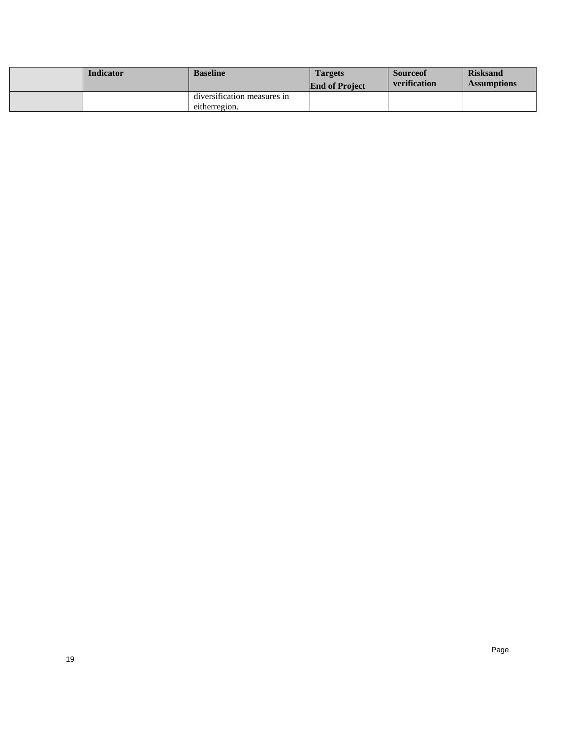| <b>Indicator</b> | <b>Baseline</b>             | <b>Targets</b><br><b>End of Project</b> | <b>Source</b> of<br><b>verification</b> | <b>Risksand</b><br><b>Assumptions</b> |
|------------------|-----------------------------|-----------------------------------------|-----------------------------------------|---------------------------------------|
|                  | diversification measures in |                                         |                                         |                                       |
|                  | eitherregion.               |                                         |                                         |                                       |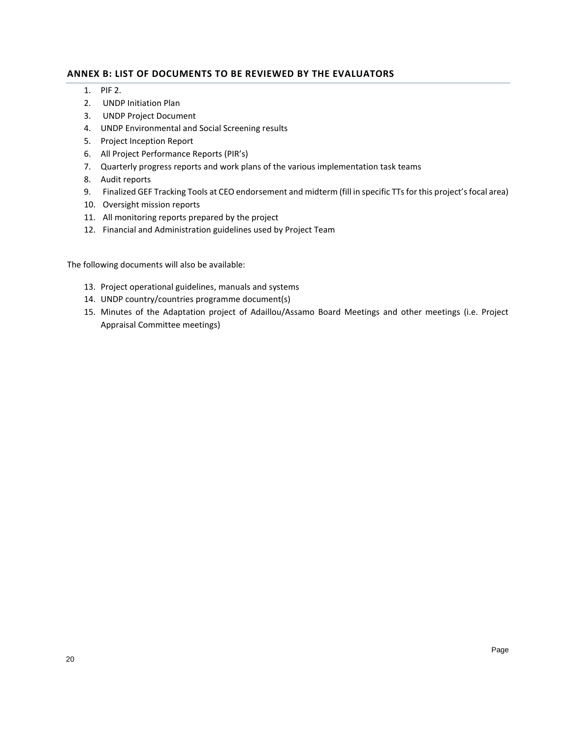# <span id="page-19-0"></span>**ANNEX B: LIST OF DOCUMENTS TO BE REVIEWED BY THE EVALUATORS**

- 1. PIF 2.
- 2. UNDP Initiation Plan
- 3. UNDP Project Document
- 4. UNDP Environmental and Social Screening results
- 5. Project Inception Report
- 6. All Project Performance Reports (PIR's)
- 7. Quarterly progress reports and work plans of the various implementation task teams
- 8. Audit reports
- 9. Finalized GEF Tracking Tools at CEO endorsement and midterm (fill in specific TTs for this project's focal area)
- 10. Oversight mission reports
- 11. All monitoring reports prepared by the project
- 12. Financial and Administration guidelines used by Project Team

The following documents will also be available:

- 13. Project operational guidelines, manuals and systems
- 14. UNDP country/countries programme document(s)
- 15. Minutes of the Adaptation project of Adaillou/Assamo Board Meetings and other meetings (i.e. Project Appraisal Committee meetings)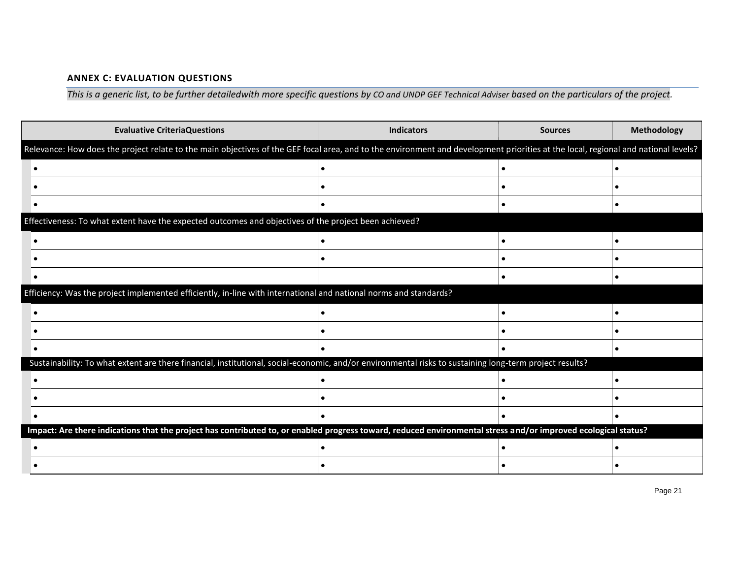# **ANNEX C: EVALUATION QUESTIONS**

*This is a generic list, to be further detailedwith more specific questions by CO and UNDP GEF Technical Adviser based on the particulars of the project.*

<span id="page-20-0"></span>

| <b>Evaluative CriteriaQuestions</b>                                                                                                                                                | <b>Indicators</b> | <b>Sources</b> | Methodology |
|------------------------------------------------------------------------------------------------------------------------------------------------------------------------------------|-------------------|----------------|-------------|
| Relevance: How does the project relate to the main objectives of the GEF focal area, and to the environment and development priorities at the local, regional and national levels? |                   |                |             |
|                                                                                                                                                                                    |                   |                |             |
|                                                                                                                                                                                    |                   |                |             |
|                                                                                                                                                                                    |                   |                |             |
| Effectiveness: To what extent have the expected outcomes and objectives of the project been achieved?                                                                              |                   |                |             |
|                                                                                                                                                                                    |                   |                |             |
|                                                                                                                                                                                    |                   |                |             |
|                                                                                                                                                                                    |                   |                |             |
| Efficiency: Was the project implemented efficiently, in-line with international and national norms and standards?                                                                  |                   |                |             |
|                                                                                                                                                                                    |                   |                |             |
|                                                                                                                                                                                    |                   |                |             |
|                                                                                                                                                                                    |                   |                |             |
| Sustainability: To what extent are there financial, institutional, social-economic, and/or environmental risks to sustaining long-term project results?                            |                   |                |             |
|                                                                                                                                                                                    |                   |                |             |
|                                                                                                                                                                                    |                   |                |             |
|                                                                                                                                                                                    |                   |                |             |
| Impact: Are there indications that the project has contributed to, or enabled progress toward, reduced environmental stress and/or improved ecological status?                     |                   |                |             |
|                                                                                                                                                                                    |                   |                |             |
|                                                                                                                                                                                    |                   |                |             |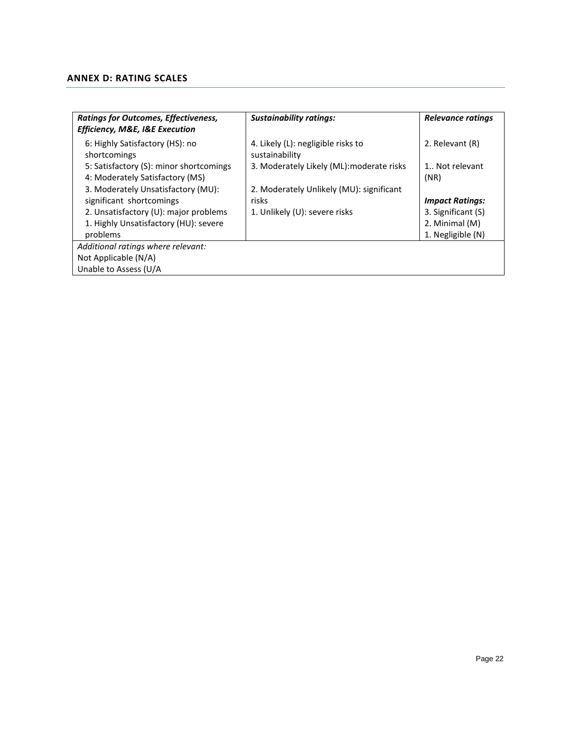# <span id="page-21-0"></span>**ANNEX D: RATING SCALES**

| <b>Ratings for Outcomes, Effectiveness,</b><br><b>Efficiency, M&amp;E, I&amp;E Execution</b> | <b>Sustainability ratings:</b>                       | Relevance ratings      |
|----------------------------------------------------------------------------------------------|------------------------------------------------------|------------------------|
| 6: Highly Satisfactory (HS): no<br>shortcomings                                              | 4. Likely (L): negligible risks to<br>sustainability | 2. Relevant (R)        |
| 5: Satisfactory (S): minor shortcomings<br>4: Moderately Satisfactory (MS)                   | 3. Moderately Likely (ML): moderate risks            | 1 Not relevant<br>(NR) |
| 3. Moderately Unsatisfactory (MU):                                                           | 2. Moderately Unlikely (MU): significant             |                        |
| significant shortcomings                                                                     | risks                                                | <b>Impact Ratings:</b> |
| 2. Unsatisfactory (U): major problems                                                        | 1. Unlikely (U): severe risks                        | 3. Significant (S)     |
| 1. Highly Unsatisfactory (HU): severe                                                        |                                                      | 2. Minimal (M)         |
| problems                                                                                     |                                                      | 1. Negligible (N)      |
| Additional ratings where relevant:                                                           |                                                      |                        |
| Not Applicable (N/A)                                                                         |                                                      |                        |
| Unable to Assess (U/A                                                                        |                                                      |                        |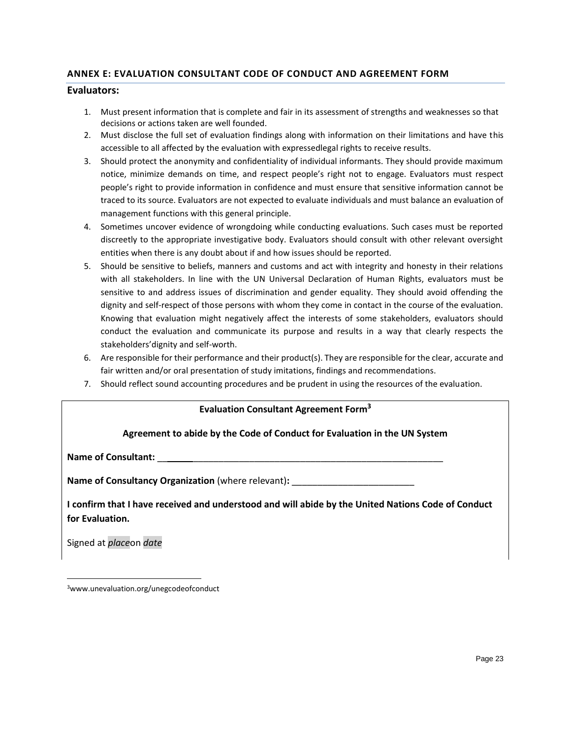# **ANNEX E: EVALUATION CONSULTANT CODE OF CONDUCT AND AGREEMENT FORM**

## **Evaluators:**

- 1. Must present information that is complete and fair in its assessment of strengths and weaknesses so that decisions or actions taken are well founded.
- 2. Must disclose the full set of evaluation findings along with information on their limitations and have this accessible to all affected by the evaluation with expressedlegal rights to receive results.
- 3. Should protect the anonymity and confidentiality of individual informants. They should provide maximum notice, minimize demands on time, and respect people's right not to engage. Evaluators must respect people's right to provide information in confidence and must ensure that sensitive information cannot be traced to its source. Evaluators are not expected to evaluate individuals and must balance an evaluation of management functions with this general principle.
- 4. Sometimes uncover evidence of wrongdoing while conducting evaluations. Such cases must be reported discreetly to the appropriate investigative body. Evaluators should consult with other relevant oversight entities when there is any doubt about if and how issues should be reported.
- 5. Should be sensitive to beliefs, manners and customs and act with integrity and honesty in their relations with all stakeholders. In line with the UN Universal Declaration of Human Rights, evaluators must be sensitive to and address issues of discrimination and gender equality. They should avoid offending the dignity and self-respect of those persons with whom they come in contact in the course of the evaluation. Knowing that evaluation might negatively affect the interests of some stakeholders, evaluators should conduct the evaluation and communicate its purpose and results in a way that clearly respects the stakeholders'dignity and self-worth.
- 6. Are responsible for their performance and their product(s). They are responsible for the clear, accurate and fair written and/or oral presentation of study imitations, findings and recommendations.
- 7. Should reflect sound accounting procedures and be prudent in using the resources of the evaluation.

# **Evaluation Consultant Agreement Form<sup>3</sup>**

# **Agreement to abide by the Code of Conduct for Evaluation in the UN System**

**Name of Consultant:**  $\blacksquare$ 

Name of Consultancy Organization (where relevant): **\_\_\_\_\_\_\_\_\_\_\_\_\_\_\_\_\_\_\_\_\_\_**\_\_\_\_\_\_

**I confirm that I have received and understood and will abide by the United Nations Code of Conduct for Evaluation.** 

Signed at *place*on *date*

3www.unevaluation.org/unegcodeofconduct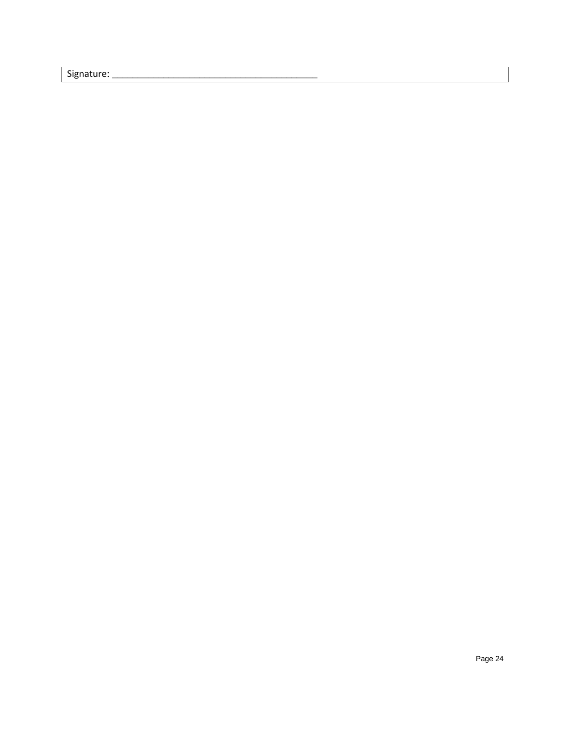Signature: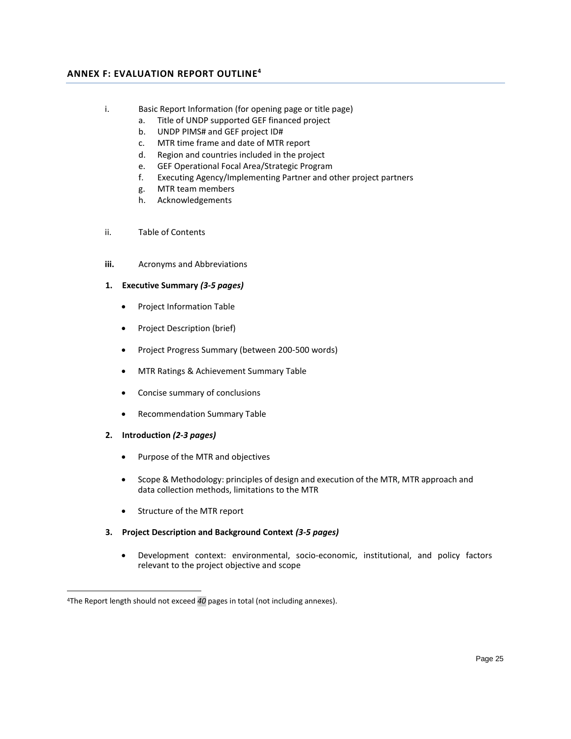## **ANNEX F: EVALUATION REPORT OUTLINE<sup>4</sup>**

- i. Basic Report Information (for opening page or title page)
	- a. Title of UNDP supported GEF financed project
	- b. UNDP PIMS# and GEF project ID#
	- c. MTR time frame and date of MTR report
	- d. Region and countries included in the project
	- e. GEF Operational Focal Area/Strategic Program
	- f. Executing Agency/Implementing Partner and other project partners
	- g. MTR team members
	- h. Acknowledgements
- ii. Table of Contents
- **iii.** Acronyms and Abbreviations
- **1. Executive Summary** *(3-5 pages)*
	- Project Information Table
	- Project Description (brief)
	- Project Progress Summary (between 200-500 words)
	- MTR Ratings & Achievement Summary Table
	- Concise summary of conclusions
	- Recommendation Summary Table
- **2. Introduction** *(2-3 pages)*
	- Purpose of the MTR and objectives
	- Scope & Methodology: principles of design and execution of the MTR, MTR approach and data collection methods, limitations to the MTR
	- Structure of the MTR report
- **3. Project Description and Background Context** *(3-5 pages)*
	- Development context: environmental, socio-economic, institutional, and policy factors relevant to the project objective and scope

<sup>4</sup>The Report length should not exceed *40* pages in total (not including annexes).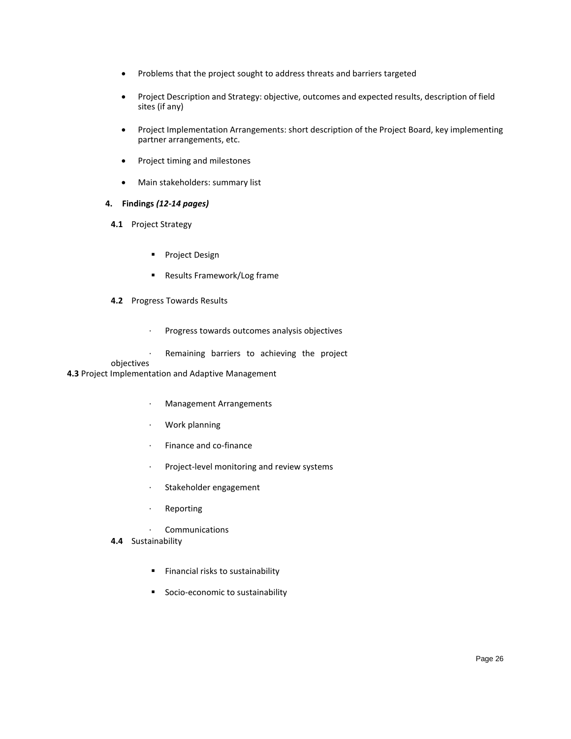- Problems that the project sought to address threats and barriers targeted
- Project Description and Strategy: objective, outcomes and expected results, description of field sites (if any)
- Project Implementation Arrangements: short description of the Project Board, key implementing partner arrangements, etc.
- Project timing and milestones
- Main stakeholders: summary list

### **4. Findings** *(12-14 pages)*

- **4.1** Project Strategy
	- **Project Design**
	- Results Framework/Log frame

#### **4.2** Progress Towards Results

- · Progress towards outcomes analysis objectives
- Remaining barriers to achieving the project

#### objectives

### **4.3** Project Implementation and Adaptive Management

- · Management Arrangements
- · Work planning
- · Finance and co-finance
- · Project-level monitoring and review systems
- · Stakeholder engagement
- · Reporting
- · Communications
- **4.4** Sustainability
	- Financial risks to sustainability
	- Socio-economic to sustainability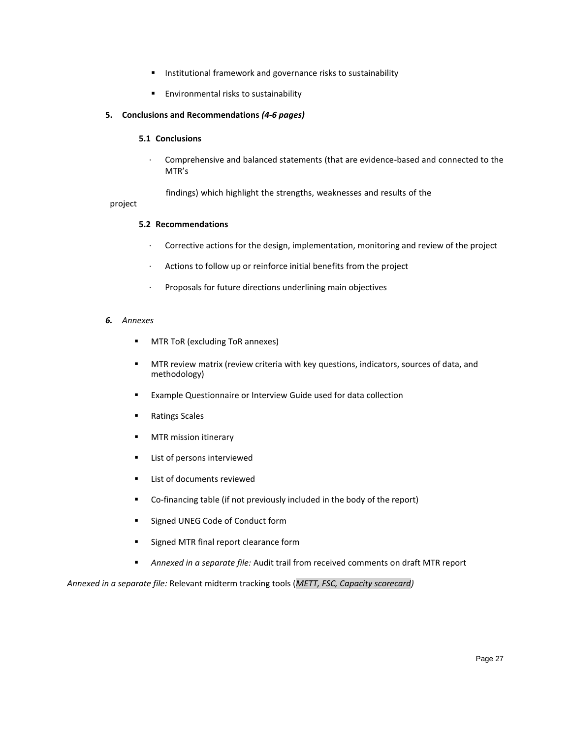- Institutional framework and governance risks to sustainability
- Environmental risks to sustainability

### **5. Conclusions and Recommendations** *(4-6 pages)*

#### **5.1 Conclusions**

· Comprehensive and balanced statements (that are evidence-based and connected to the MTR's

findings) which highlight the strengths, weaknesses and results of the

#### project

#### **5.2 Recommendations**

- · Corrective actions for the design, implementation, monitoring and review of the project
- · Actions to follow up or reinforce initial benefits from the project
- · Proposals for future directions underlining main objectives

#### *6. Annexes*

- **■** MTR ToR (excluding ToR annexes)
- **■** MTR review matrix (review criteria with key questions, indicators, sources of data, and methodology)
- Example Questionnaire or Interview Guide used for data collection
- Ratings Scales
- **■** MTR mission itinerary
- List of persons interviewed
- List of documents reviewed
- Co-financing table (if not previously included in the body of the report)
- Signed UNEG Code of Conduct form
- Signed MTR final report clearance form
- *Annexed in a separate file:* Audit trail from received comments on draft MTR report

*Annexed in a separate file:* Relevant midterm tracking tools (*METT, FSC, Capacity scorecard)*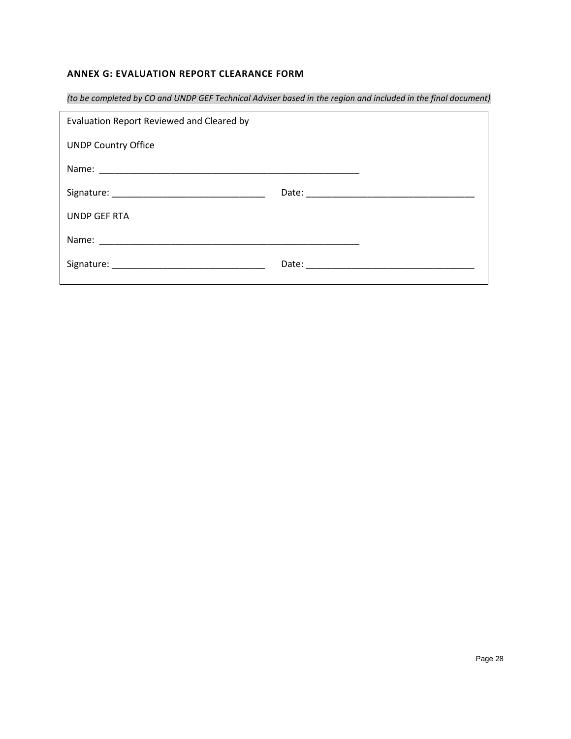# **ANNEX G: EVALUATION REPORT CLEARANCE FORM**

| (to be completed by CO and UNDP GEF Technical Adviser based in the region and included in the final document) |  |  |  |  |
|---------------------------------------------------------------------------------------------------------------|--|--|--|--|
| Evaluation Report Reviewed and Cleared by                                                                     |  |  |  |  |
| <b>UNDP Country Office</b>                                                                                    |  |  |  |  |
|                                                                                                               |  |  |  |  |
|                                                                                                               |  |  |  |  |
| UNDP GEF RTA                                                                                                  |  |  |  |  |
|                                                                                                               |  |  |  |  |
|                                                                                                               |  |  |  |  |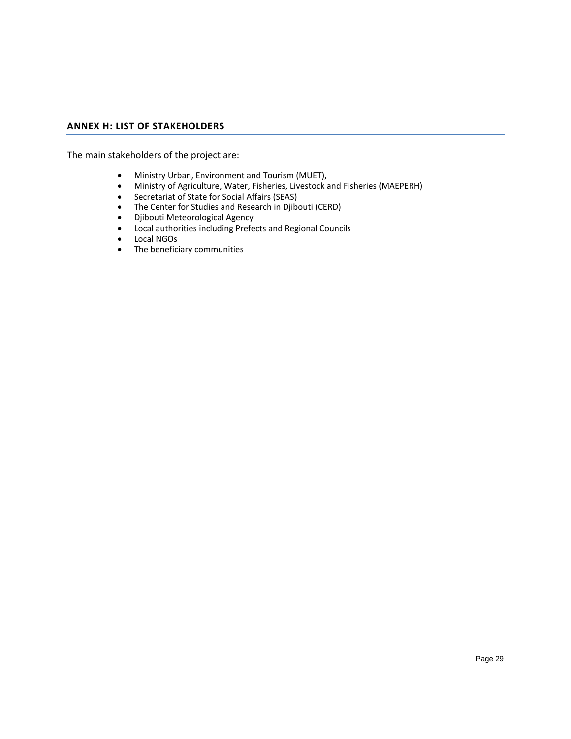## **ANNEX H: LIST OF STAKEHOLDERS**

The main stakeholders of the project are:

- Ministry Urban, Environment and Tourism (MUET),
- Ministry of Agriculture, Water, Fisheries, Livestock and Fisheries (MAEPERH)
- Secretariat of State for Social Affairs (SEAS)
- The Center for Studies and Research in Djibouti (CERD)
- Djibouti Meteorological Agency
- Local authorities including Prefects and Regional Councils
- Local NGOs
- The beneficiary communities